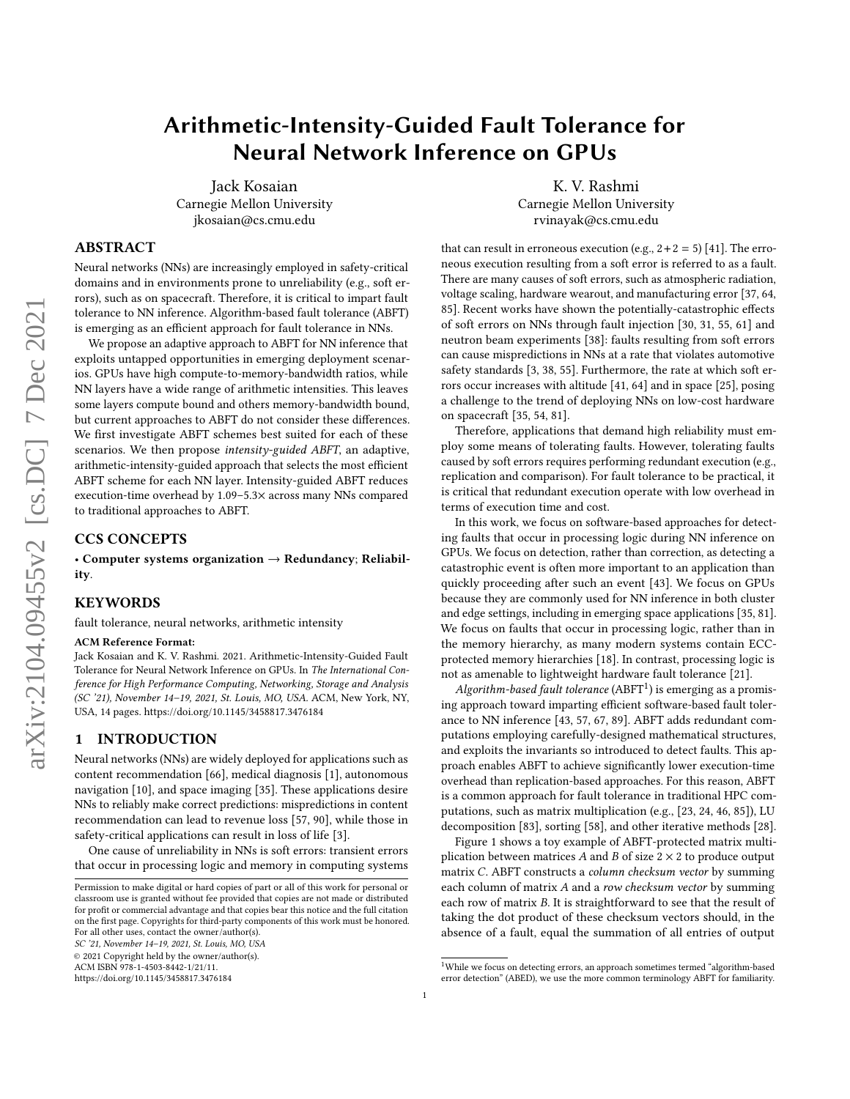# Arithmetic-Intensity-Guided Fault Tolerance for Neural Network Inference on GPUs

Jack Kosaian Carnegie Mellon University jkosaian@cs.cmu.edu

K. V. Rashmi Carnegie Mellon University rvinayak@cs.cmu.edu

# ABSTRACT

Neural networks (NNs) are increasingly employed in safety-critical domains and in environments prone to unreliability (e.g., soft errors), such as on spacecraft. Therefore, it is critical to impart fault tolerance to NN inference. Algorithm-based fault tolerance (ABFT) is emerging as an efficient approach for fault tolerance in NNs.

We propose an adaptive approach to ABFT for NN inference that exploits untapped opportunities in emerging deployment scenarios. GPUs have high compute-to-memory-bandwidth ratios, while NN layers have a wide range of arithmetic intensities. This leaves some layers compute bound and others memory-bandwidth bound, but current approaches to ABFT do not consider these differences. We first investigate ABFT schemes best suited for each of these scenarios. We then propose intensity-guided ABFT, an adaptive, arithmetic-intensity-guided approach that selects the most efficient ABFT scheme for each NN layer. Intensity-guided ABFT reduces execution-time overhead by 1.09–5.3× across many NNs compared to traditional approaches to ABFT.

# CCS CONCEPTS

• Computer systems organization  $\rightarrow$  Redundancy; Reliability.

## **KEYWORDS**

fault tolerance, neural networks, arithmetic intensity

#### ACM Reference Format:

Jack Kosaian and K. V. Rashmi. 2021. Arithmetic-Intensity-Guided Fault Tolerance for Neural Network Inference on GPUs. In The International Conference for High Performance Computing, Networking, Storage and Analysis (SC '21), November 14–19, 2021, St. Louis, MO, USA. ACM, New York, NY, USA, [14](#page-13-0) pages.<https://doi.org/10.1145/3458817.3476184>

# <span id="page-0-1"></span>1 INTRODUCTION

Neural networks (NNs) are widely deployed for applications such as content recommendation [\[66\]](#page-13-1), medical diagnosis [\[1\]](#page-12-0), autonomous navigation [\[10\]](#page-12-1), and space imaging [\[35\]](#page-12-2). These applications desire NNs to reliably make correct predictions: mispredictions in content recommendation can lead to revenue loss [\[57,](#page-13-2) [90\]](#page-13-3), while those in safety-critical applications can result in loss of life [\[3\]](#page-12-3).

One cause of unreliability in NNs is soft errors: transient errors that occur in processing logic and memory in computing systems

SC '21, November 14–19, 2021, St. Louis, MO, USA

© 2021 Copyright held by the owner/author(s).

ACM ISBN 978-1-4503-8442-1/21/11.

<https://doi.org/10.1145/3458817.3476184>

that can result in erroneous execution (e.g.,  $2+2=5$ ) [\[41\]](#page-12-4). The erroneous execution resulting from a soft error is referred to as a fault. There are many causes of soft errors, such as atmospheric radiation, voltage scaling, hardware wearout, and manufacturing error [\[37,](#page-12-5) [64,](#page-13-4) [85\]](#page-13-5). Recent works have shown the potentially-catastrophic effects of soft errors on NNs through fault injection [\[30,](#page-12-6) [31,](#page-12-7) [55,](#page-12-8) [61\]](#page-13-6) and neutron beam experiments [\[38\]](#page-12-9): faults resulting from soft errors can cause mispredictions in NNs at a rate that violates automotive safety standards [\[3,](#page-12-3) [38,](#page-12-9) [55\]](#page-12-8). Furthermore, the rate at which soft errors occur increases with altitude [\[41,](#page-12-4) [64\]](#page-13-4) and in space [\[25\]](#page-12-10), posing a challenge to the trend of deploying NNs on low-cost hardware on spacecraft [\[35,](#page-12-2) [54,](#page-12-11) [81\]](#page-13-7).

Therefore, applications that demand high reliability must employ some means of tolerating faults. However, tolerating faults caused by soft errors requires performing redundant execution (e.g., replication and comparison). For fault tolerance to be practical, it is critical that redundant execution operate with low overhead in terms of execution time and cost.

In this work, we focus on software-based approaches for detecting faults that occur in processing logic during NN inference on GPUs. We focus on detection, rather than correction, as detecting a catastrophic event is often more important to an application than quickly proceeding after such an event [\[43\]](#page-12-12). We focus on GPUs because they are commonly used for NN inference in both cluster and edge settings, including in emerging space applications [\[35,](#page-12-2) [81\]](#page-13-7). We focus on faults that occur in processing logic, rather than in the memory hierarchy, as many modern systems contain ECCprotected memory hierarchies [\[18\]](#page-12-13). In contrast, processing logic is not as amenable to lightweight hardware fault tolerance [\[21\]](#page-12-14).

 $Algorithm$ -based fault tolerance  $(ABFT^1)$  $(ABFT^1)$  $(ABFT^1)$  is emerging as a promising approach toward imparting efficient software-based fault tolerance to NN inference [\[43,](#page-12-12) [57,](#page-13-2) [67,](#page-13-8) [89\]](#page-13-9). ABFT adds redundant computations employing carefully-designed mathematical structures, and exploits the invariants so introduced to detect faults. This approach enables ABFT to achieve significantly lower execution-time overhead than replication-based approaches. For this reason, ABFT is a common approach for fault tolerance in traditional HPC computations, such as matrix multiplication (e.g., [\[23,](#page-12-15) [24,](#page-12-16) [46,](#page-12-17) [85\]](#page-13-5)), LU decomposition [\[83\]](#page-13-10), sorting [\[58\]](#page-13-11), and other iterative methods [\[28\]](#page-12-18).

Figure [1](#page-1-0) shows a toy example of ABFT-protected matrix multiplication between matrices A and B of size  $2 \times 2$  to produce output matrix C. ABFT constructs a column checksum vector by summing each column of matrix  $A$  and a row checksum vector by summing each row of matrix B. It is straightforward to see that the result of taking the dot product of these checksum vectors should, in the absence of a fault, equal the summation of all entries of output

Permission to make digital or hard copies of part or all of this work for personal or classroom use is granted without fee provided that copies are not made or distributed for profit or commercial advantage and that copies bear this notice and the full citation on the first page. Copyrights for third-party components of this work must be honored. For all other uses, contact the owner/author(s).

<span id="page-0-0"></span><sup>&</sup>lt;sup>1</sup>While we focus on detecting errors, an approach sometimes termed "algorithm-based error detection" (ABED), we use the more common terminology ABFT for familiarity.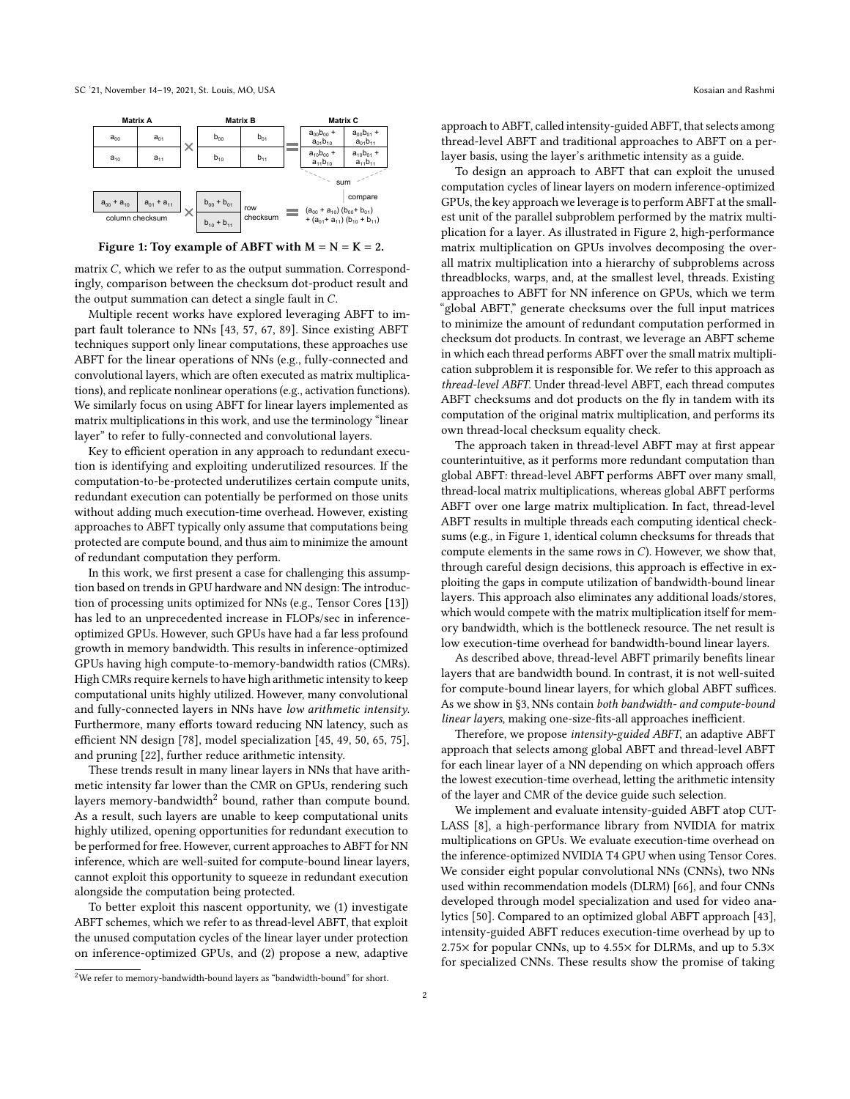<span id="page-1-0"></span>

Figure 1: Toy example of ABFT with  $M = N = K = 2$ .

matrix  $C$ , which we refer to as the output summation. Correspondingly, comparison between the checksum dot-product result and the output summation can detect a single fault in  $C$ .

Multiple recent works have explored leveraging ABFT to impart fault tolerance to NNs [\[43,](#page-12-12) [57,](#page-13-2) [67,](#page-13-8) [89\]](#page-13-9). Since existing ABFT techniques support only linear computations, these approaches use ABFT for the linear operations of NNs (e.g., fully-connected and convolutional layers, which are often executed as matrix multiplications), and replicate nonlinear operations (e.g., activation functions). We similarly focus on using ABFT for linear layers implemented as matrix multiplications in this work, and use the terminology "linear layer" to refer to fully-connected and convolutional layers.

Key to efficient operation in any approach to redundant execution is identifying and exploiting underutilized resources. If the computation-to-be-protected underutilizes certain compute units, redundant execution can potentially be performed on those units without adding much execution-time overhead. However, existing approaches to ABFT typically only assume that computations being protected are compute bound, and thus aim to minimize the amount of redundant computation they perform.

In this work, we first present a case for challenging this assumption based on trends in GPU hardware and NN design: The introduction of processing units optimized for NNs (e.g., Tensor Cores [\[13\]](#page-12-19)) has led to an unprecedented increase in FLOPs/sec in inferenceoptimized GPUs. However, such GPUs have had a far less profound growth in memory bandwidth. This results in inference-optimized GPUs having high compute-to-memory-bandwidth ratios (CMRs). High CMRs require kernels to have high arithmetic intensity to keep computational units highly utilized. However, many convolutional and fully-connected layers in NNs have low arithmetic intensity. Furthermore, many efforts toward reducing NN latency, such as efficient NN design [\[78\]](#page-13-12), model specialization [\[45,](#page-12-20) [49,](#page-12-21) [50,](#page-12-22) [65,](#page-13-13) [75\]](#page-13-14), and pruning [\[22\]](#page-12-23), further reduce arithmetic intensity.

These trends result in many linear layers in NNs that have arithmetic intensity far lower than the CMR on GPUs, rendering such layers memory-bandwidth<sup>[2](#page-1-1)</sup> bound, rather than compute bound. As a result, such layers are unable to keep computational units highly utilized, opening opportunities for redundant execution to be performed for free. However, current approaches to ABFT for NN inference, which are well-suited for compute-bound linear layers, cannot exploit this opportunity to squeeze in redundant execution alongside the computation being protected.

To better exploit this nascent opportunity, we (1) investigate ABFT schemes, which we refer to as thread-level ABFT, that exploit the unused computation cycles of the linear layer under protection on inference-optimized GPUs, and (2) propose a new, adaptive approach to ABFT, called intensity-guided ABFT, that selects among thread-level ABFT and traditional approaches to ABFT on a perlayer basis, using the layer's arithmetic intensity as a guide.

To design an approach to ABFT that can exploit the unused computation cycles of linear layers on modern inference-optimized GPUs, the key approach we leverage is to perform ABFT at the smallest unit of the parallel subproblem performed by the matrix multiplication for a layer. As illustrated in Figure [2,](#page-3-0) high-performance matrix multiplication on GPUs involves decomposing the overall matrix multiplication into a hierarchy of subproblems across threadblocks, warps, and, at the smallest level, threads. Existing approaches to ABFT for NN inference on GPUs, which we term "global ABFT," generate checksums over the full input matrices to minimize the amount of redundant computation performed in checksum dot products. In contrast, we leverage an ABFT scheme in which each thread performs ABFT over the small matrix multiplication subproblem it is responsible for. We refer to this approach as thread-level ABFT. Under thread-level ABFT, each thread computes ABFT checksums and dot products on the fly in tandem with its computation of the original matrix multiplication, and performs its own thread-local checksum equality check.

The approach taken in thread-level ABFT may at first appear counterintuitive, as it performs more redundant computation than global ABFT: thread-level ABFT performs ABFT over many small, thread-local matrix multiplications, whereas global ABFT performs ABFT over one large matrix multiplication. In fact, thread-level ABFT results in multiple threads each computing identical checksums (e.g., in Figure [1,](#page-1-0) identical column checksums for threads that compute elements in the same rows in  $C$ ). However, we show that, through careful design decisions, this approach is effective in exploiting the gaps in compute utilization of bandwidth-bound linear layers. This approach also eliminates any additional loads/stores, which would compete with the matrix multiplication itself for memory bandwidth, which is the bottleneck resource. The net result is low execution-time overhead for bandwidth-bound linear layers.

As described above, thread-level ABFT primarily benefits linear layers that are bandwidth bound. In contrast, it is not well-suited for compute-bound linear layers, for which global ABFT suffices. As we show in [§3,](#page-3-1) NNs contain both bandwidth- and compute-bound linear layers, making one-size-fits-all approaches inefficient.

Therefore, we propose intensity-guided ABFT, an adaptive ABFT approach that selects among global ABFT and thread-level ABFT for each linear layer of a NN depending on which approach offers the lowest execution-time overhead, letting the arithmetic intensity of the layer and CMR of the device guide such selection.

We implement and evaluate intensity-guided ABFT atop CUT-LASS [\[8\]](#page-12-24), a high-performance library from NVIDIA for matrix multiplications on GPUs. We evaluate execution-time overhead on the inference-optimized NVIDIA T4 GPU when using Tensor Cores. We consider eight popular convolutional NNs (CNNs), two NNs used within recommendation models (DLRM) [\[66\]](#page-13-1), and four CNNs developed through model specialization and used for video analytics [\[50\]](#page-12-22). Compared to an optimized global ABFT approach [\[43\]](#page-12-12), intensity-guided ABFT reduces execution-time overhead by up to 2.75× for popular CNNs, up to 4.55× for DLRMs, and up to 5.3× for specialized CNNs. These results show the promise of taking

<span id="page-1-1"></span><sup>2</sup>We refer to memory-bandwidth-bound layers as "bandwidth-bound" for short.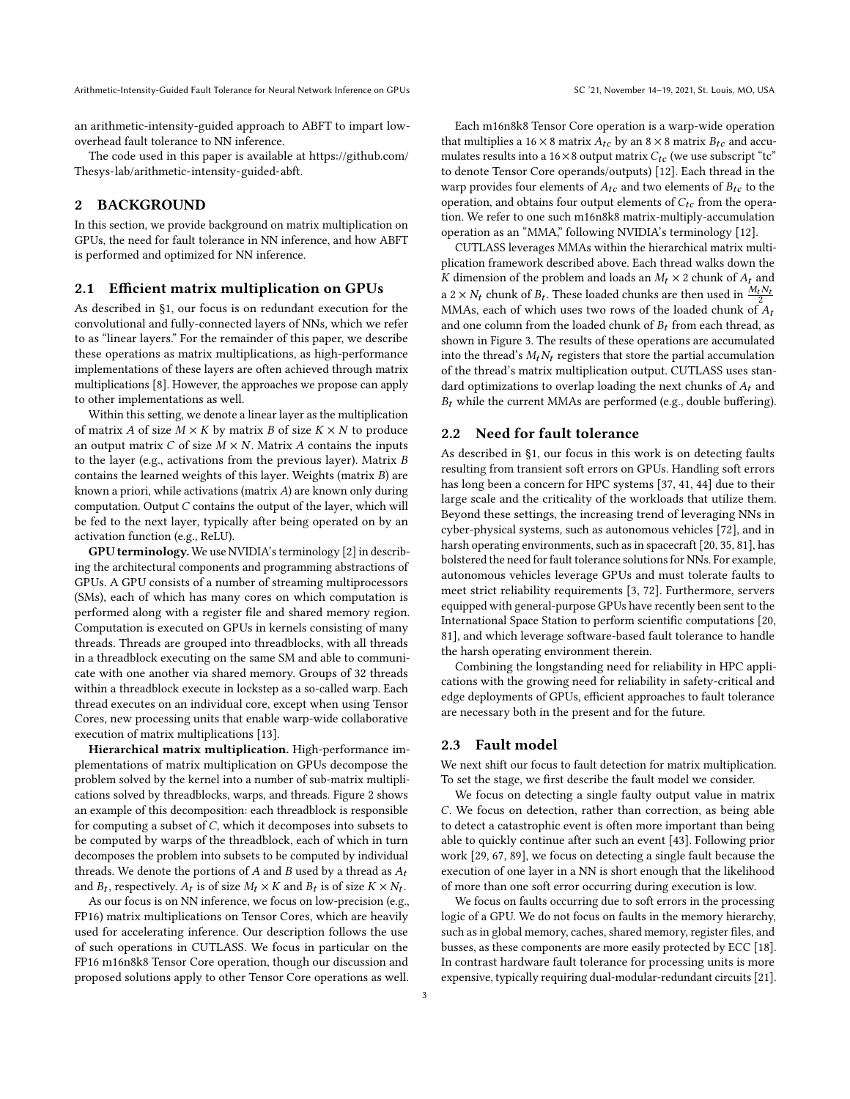an arithmetic-intensity-guided approach to ABFT to impart lowoverhead fault tolerance to NN inference.

The code used in this paper is available at [https://github.com/](https://github.com/Thesys-lab/arithmetic-intensity-guided-abft) [Thesys-lab/arithmetic-intensity-guided-abft.](https://github.com/Thesys-lab/arithmetic-intensity-guided-abft)

# 2 BACKGROUND

In this section, we provide background on matrix multiplication on GPUs, the need for fault tolerance in NN inference, and how ABFT is performed and optimized for NN inference.

#### <span id="page-2-0"></span>2.1 Efficient matrix multiplication on GPUs

As described in [§1,](#page-0-1) our focus is on redundant execution for the convolutional and fully-connected layers of NNs, which we refer to as "linear layers." For the remainder of this paper, we describe these operations as matrix multiplications, as high-performance implementations of these layers are often achieved through matrix multiplications [\[8\]](#page-12-24). However, the approaches we propose can apply to other implementations as well.

Within this setting, we denote a linear layer as the multiplication of matrix A of size  $M \times K$  by matrix B of size  $K \times N$  to produce an output matrix C of size  $M \times N$ . Matrix A contains the inputs to the layer (e.g., activations from the previous layer). Matrix contains the learned weights of this layer. Weights (matrix  $B$ ) are known a priori, while activations (matrix  $A$ ) are known only during computation. Output  $C$  contains the output of the layer, which will be fed to the next layer, typically after being operated on by an activation function (e.g., ReLU).

GPU terminology. We use NVIDIA's terminology [\[2\]](#page-12-25) in describing the architectural components and programming abstractions of GPUs. A GPU consists of a number of streaming multiprocessors (SMs), each of which has many cores on which computation is performed along with a register file and shared memory region. Computation is executed on GPUs in kernels consisting of many threads. Threads are grouped into threadblocks, with all threads in a threadblock executing on the same SM and able to communicate with one another via shared memory. Groups of 32 threads within a threadblock execute in lockstep as a so-called warp. Each thread executes on an individual core, except when using Tensor Cores, new processing units that enable warp-wide collaborative execution of matrix multiplications [\[13\]](#page-12-19).

Hierarchical matrix multiplication. High-performance implementations of matrix multiplication on GPUs decompose the problem solved by the kernel into a number of sub-matrix multiplications solved by threadblocks, warps, and threads. Figure [2](#page-3-0) shows an example of this decomposition: each threadblock is responsible for computing a subset of  $C$ , which it decomposes into subsets to be computed by warps of the threadblock, each of which in turn decomposes the problem into subsets to be computed by individual threads. We denote the portions of  $A$  and  $B$  used by a thread as  $A_t$ and  $B_t$ , respectively.  $A_t$  is of size  $M_t \times K$  and  $B_t$  is of size  $K \times N_t$ .

As our focus is on NN inference, we focus on low-precision (e.g., FP16) matrix multiplications on Tensor Cores, which are heavily used for accelerating inference. Our description follows the use of such operations in CUTLASS. We focus in particular on the FP16 m16n8k8 Tensor Core operation, though our discussion and proposed solutions apply to other Tensor Core operations as well.

Each m16n8k8 Tensor Core operation is a warp-wide operation that multiplies a 16  $\times$  8 matrix  $A_{tc}$  by an 8  $\times$  8 matrix  $B_{tc}$  and accumulates results into a 16×8 output matrix  $C_{tc}$  (we use subscript "tc" to denote Tensor Core operands/outputs) [\[12\]](#page-12-26). Each thread in the warp provides four elements of  $A_{tc}$  and two elements of  $B_{tc}$  to the operation, and obtains four output elements of  $C_{tc}$  from the operation. We refer to one such m16n8k8 matrix-multiply-accumulation operation as an "MMA," following NVIDIA's terminology [\[12\]](#page-12-26).

CUTLASS leverages MMAs within the hierarchical matrix multiplication framework described above. Each thread walks down the K dimension of the problem and loads an  $M_t \times 2$  chunk of  $A_t$  and a  $2 \times N_t$  chunk of  $B_t$ . These loaded chunks are then used in  $\frac{M_t N_t}{2}$ MMAs, each of which uses two rows of the loaded chunk of  $A_t$ and one column from the loaded chunk of  $B_t$  from each thread, as shown in Figure [3.](#page-3-2) The results of these operations are accumulated into the thread's  $M_t N_t$  registers that store the partial accumulation of the thread's matrix multiplication output. CUTLASS uses standard optimizations to overlap loading the next chunks of  $A_t$  and  $B_t$  while the current MMAs are performed (e.g., double buffering).

# 2.2 Need for fault tolerance

As described in [§1,](#page-0-1) our focus in this work is on detecting faults resulting from transient soft errors on GPUs. Handling soft errors has long been a concern for HPC systems [\[37,](#page-12-5) [41,](#page-12-4) [44\]](#page-12-27) due to their large scale and the criticality of the workloads that utilize them. Beyond these settings, the increasing trend of leveraging NNs in cyber-physical systems, such as autonomous vehicles [\[72\]](#page-13-15), and in harsh operating environments, such as in spacecraft [\[20,](#page-12-28) [35,](#page-12-2) [81\]](#page-13-7), has bolstered the need for fault tolerance solutions for NNs. For example, autonomous vehicles leverage GPUs and must tolerate faults to meet strict reliability requirements [\[3,](#page-12-3) [72\]](#page-13-15). Furthermore, servers equipped with general-purpose GPUs have recently been sent to the International Space Station to perform scientific computations [\[20,](#page-12-28) [81\]](#page-13-7), and which leverage software-based fault tolerance to handle the harsh operating environment therein.

Combining the longstanding need for reliability in HPC applications with the growing need for reliability in safety-critical and edge deployments of GPUs, efficient approaches to fault tolerance are necessary both in the present and for the future.

# 2.3 Fault model

We next shift our focus to fault detection for matrix multiplication. To set the stage, we first describe the fault model we consider.

We focus on detecting a single faulty output value in matrix . We focus on detection, rather than correction, as being able to detect a catastrophic event is often more important than being able to quickly continue after such an event [\[43\]](#page-12-12). Following prior work [\[29,](#page-12-29) [67,](#page-13-8) [89\]](#page-13-9), we focus on detecting a single fault because the execution of one layer in a NN is short enough that the likelihood of more than one soft error occurring during execution is low.

We focus on faults occurring due to soft errors in the processing logic of a GPU. We do not focus on faults in the memory hierarchy, such as in global memory, caches, shared memory, register files, and busses, as these components are more easily protected by ECC [\[18\]](#page-12-13). In contrast hardware fault tolerance for processing units is more expensive, typically requiring dual-modular-redundant circuits [\[21\]](#page-12-14).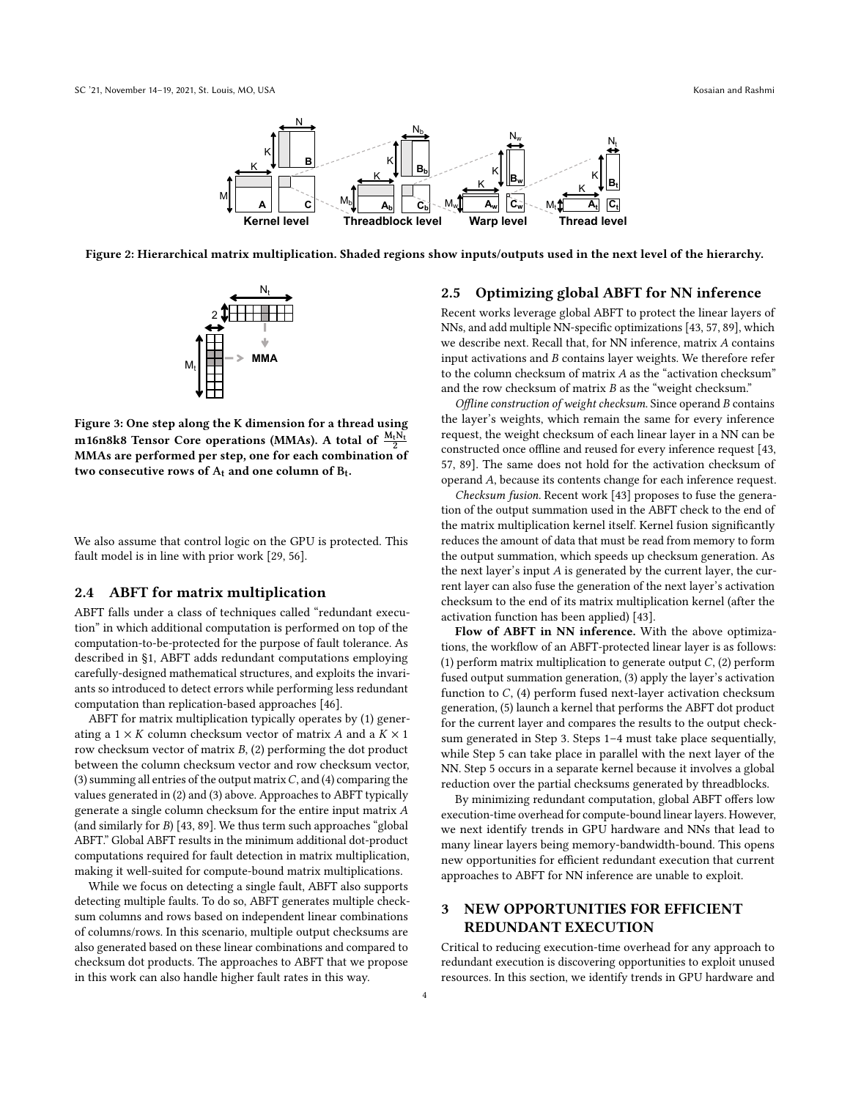<span id="page-3-0"></span>

<span id="page-3-2"></span>Figure 2: Hierarchical matrix multiplication. Shaded regions show inputs/outputs used in the next level of the hierarchy.



Figure 3: One step along the K dimension for a thread using m16n8k8 Tensor Core operations (MMAs). A total of  $\frac{M_t N_t}{2}$ MMAs are performed per step, one for each combination of two consecutive rows of  $A_t$  and one column of  $B_t$ .

We also assume that control logic on the GPU is protected. This fault model is in line with prior work [\[29,](#page-12-29) [56\]](#page-13-16).

#### <span id="page-3-4"></span>2.4 ABFT for matrix multiplication

ABFT falls under a class of techniques called "redundant execution" in which additional computation is performed on top of the computation-to-be-protected for the purpose of fault tolerance. As described in [§1,](#page-0-1) ABFT adds redundant computations employing carefully-designed mathematical structures, and exploits the invariants so introduced to detect errors while performing less redundant computation than replication-based approaches [\[46\]](#page-12-17).

ABFT for matrix multiplication typically operates by (1) generating a  $1 \times K$  column checksum vector of matrix A and a  $K \times 1$ row checksum vector of matrix  $B$ ,  $(2)$  performing the dot product between the column checksum vector and row checksum vector, (3) summing all entries of the output matrix  $C$ , and (4) comparing the values generated in (2) and (3) above. Approaches to ABFT typically generate a single column checksum for the entire input matrix (and similarly for  $B$ ) [\[43,](#page-12-12) [89\]](#page-13-9). We thus term such approaches "global ABFT." Global ABFT results in the minimum additional dot-product computations required for fault detection in matrix multiplication, making it well-suited for compute-bound matrix multiplications.

While we focus on detecting a single fault, ABFT also supports detecting multiple faults. To do so, ABFT generates multiple checksum columns and rows based on independent linear combinations of columns/rows. In this scenario, multiple output checksums are also generated based on these linear combinations and compared to checksum dot products. The approaches to ABFT that we propose in this work can also handle higher fault rates in this way.

#### <span id="page-3-3"></span>2.5 Optimizing global ABFT for NN inference

Recent works leverage global ABFT to protect the linear layers of NNs, and add multiple NN-specific optimizations [\[43,](#page-12-12) [57,](#page-13-2) [89\]](#page-13-9), which we describe next. Recall that, for NN inference, matrix  $A$  contains input activations and  $B$  contains layer weights. We therefore refer to the column checksum of matrix  $A$  as the "activation checksum" and the row checksum of matrix  $B$  as the "weight checksum."

Offline construction of weight checksum. Since operand  $B$  contains the layer's weights, which remain the same for every inference request, the weight checksum of each linear layer in a NN can be constructed once offline and reused for every inference request [\[43,](#page-12-12) [57,](#page-13-2) [89\]](#page-13-9). The same does not hold for the activation checksum of operand A, because its contents change for each inference request.

Checksum fusion. Recent work [\[43\]](#page-12-12) proposes to fuse the generation of the output summation used in the ABFT check to the end of the matrix multiplication kernel itself. Kernel fusion significantly reduces the amount of data that must be read from memory to form the output summation, which speeds up checksum generation. As the next layer's input  $A$  is generated by the current layer, the current layer can also fuse the generation of the next layer's activation checksum to the end of its matrix multiplication kernel (after the activation function has been applied) [\[43\]](#page-12-12).

Flow of ABFT in NN inference. With the above optimizations, the workflow of an ABFT-protected linear layer is as follows: (1) perform matrix multiplication to generate output  $C$ , (2) perform fused output summation generation, (3) apply the layer's activation function to  $C$ , (4) perform fused next-layer activation checksum generation, (5) launch a kernel that performs the ABFT dot product for the current layer and compares the results to the output checksum generated in Step 3. Steps 1–4 must take place sequentially, while Step 5 can take place in parallel with the next layer of the NN. Step 5 occurs in a separate kernel because it involves a global reduction over the partial checksums generated by threadblocks.

By minimizing redundant computation, global ABFT offers low execution-time overhead for compute-bound linear layers. However, we next identify trends in GPU hardware and NNs that lead to many linear layers being memory-bandwidth-bound. This opens new opportunities for efficient redundant execution that current approaches to ABFT for NN inference are unable to exploit.

# <span id="page-3-1"></span>3 NEW OPPORTUNITIES FOR EFFICIENT REDUNDANT EXECUTION

Critical to reducing execution-time overhead for any approach to redundant execution is discovering opportunities to exploit unused resources. In this section, we identify trends in GPU hardware and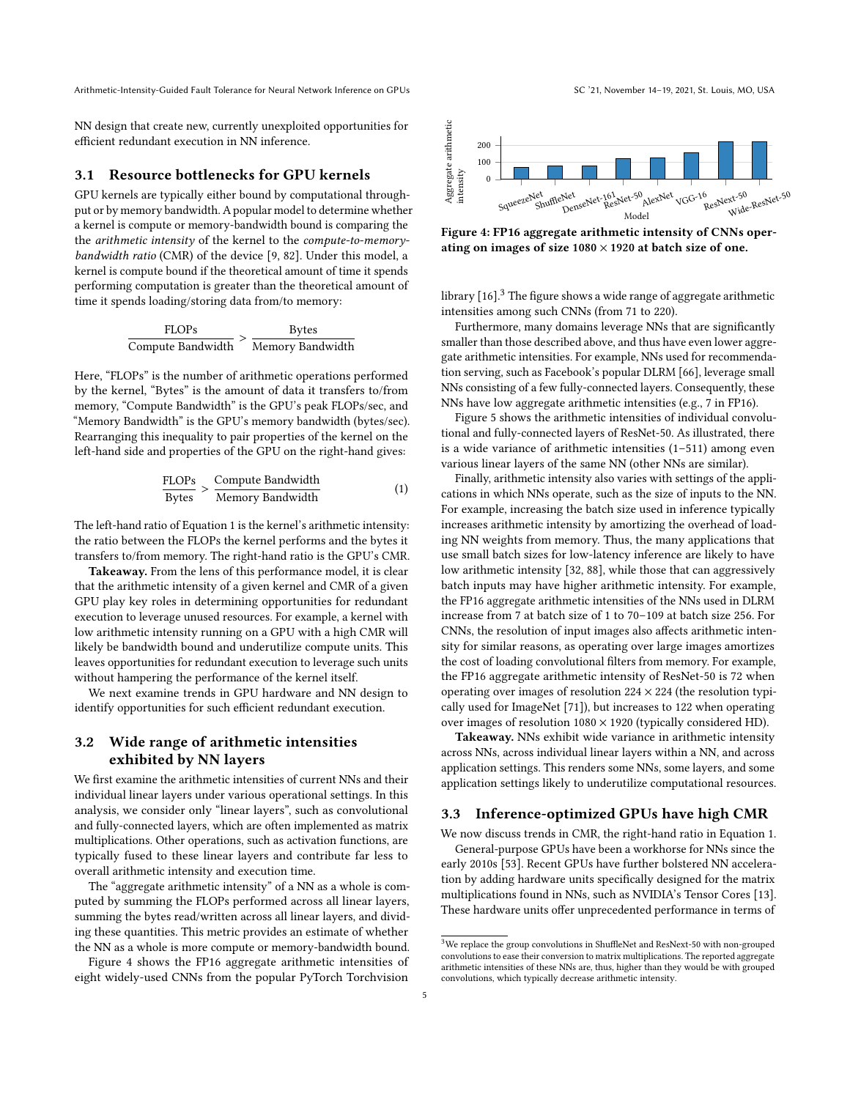NN design that create new, currently unexploited opportunities for efficient redundant execution in NN inference.

#### 3.1 Resource bottlenecks for GPU kernels

GPU kernels are typically either bound by computational throughput or by memory bandwidth. A popular model to determine whether a kernel is compute or memory-bandwidth bound is comparing the the arithmetic intensity of the kernel to the compute-to-memorybandwidth ratio (CMR) of the device [\[9,](#page-12-30) [82\]](#page-13-17). Under this model, a kernel is compute bound if the theoretical amount of time it spends performing computation is greater than the theoretical amount of time it spends loading/storing data from/to memory:

$$
\frac{\text{FLOPs}}{\text{Compute Bandwidth}} > \frac{\text{Bytes}}{\text{Memory Bandwidth}}
$$

Here, "FLOPs" is the number of arithmetic operations performed by the kernel, "Bytes" is the amount of data it transfers to/from memory, "Compute Bandwidth" is the GPU's peak FLOPs/sec, and "Memory Bandwidth" is the GPU's memory bandwidth (bytes/sec). Rearranging this inequality to pair properties of the kernel on the left-hand side and properties of the GPU on the right-hand gives:

$$
\frac{\text{FLOPs}}{\text{Bytes}} > \frac{\text{Compute Bandwidth}}{\text{Memory Bandwidth}}
$$
 (1)

The left-hand ratio of Equation [1](#page-4-0) is the kernel's arithmetic intensity: the ratio between the FLOPs the kernel performs and the bytes it transfers to/from memory. The right-hand ratio is the GPU's CMR.

Takeaway. From the lens of this performance model, it is clear that the arithmetic intensity of a given kernel and CMR of a given GPU play key roles in determining opportunities for redundant execution to leverage unused resources. For example, a kernel with low arithmetic intensity running on a GPU with a high CMR will likely be bandwidth bound and underutilize compute units. This leaves opportunities for redundant execution to leverage such units without hampering the performance of the kernel itself.

We next examine trends in GPU hardware and NN design to identify opportunities for such efficient redundant execution.

# <span id="page-4-3"></span>3.2 Wide range of arithmetic intensities exhibited by NN layers

We first examine the arithmetic intensities of current NNs and their individual linear layers under various operational settings. In this analysis, we consider only "linear layers", such as convolutional and fully-connected layers, which are often implemented as matrix multiplications. Other operations, such as activation functions, are typically fused to these linear layers and contribute far less to overall arithmetic intensity and execution time.

The "aggregate arithmetic intensity" of a NN as a whole is computed by summing the FLOPs performed across all linear layers, summing the bytes read/written across all linear layers, and dividing these quantities. This metric provides an estimate of whether the NN as a whole is more compute or memory-bandwidth bound.

Figure [4](#page-4-1) shows the FP16 aggregate arithmetic intensities of eight widely-used CNNs from the popular PyTorch Torchvision

<span id="page-4-1"></span>

Figure 4: FP16 aggregate arithmetic intensity of CNNs operating on images of size  $1080 \times 1920$  at batch size of one.

library  $[16]$ <sup>[3](#page-4-2)</sup>. The figure shows a wide range of aggregate arithmetic intensities among such CNNs (from 71 to 220).

Furthermore, many domains leverage NNs that are significantly smaller than those described above, and thus have even lower aggregate arithmetic intensities. For example, NNs used for recommendation serving, such as Facebook's popular DLRM [\[66\]](#page-13-1), leverage small NNs consisting of a few fully-connected layers. Consequently, these NNs have low aggregate arithmetic intensities (e.g., 7 in FP16).

Figure [5](#page-5-0) shows the arithmetic intensities of individual convolutional and fully-connected layers of ResNet-50. As illustrated, there is a wide variance of arithmetic intensities (1–511) among even various linear layers of the same NN (other NNs are similar).

<span id="page-4-0"></span>Finally, arithmetic intensity also varies with settings of the applications in which NNs operate, such as the size of inputs to the NN. For example, increasing the batch size used in inference typically increases arithmetic intensity by amortizing the overhead of loading NN weights from memory. Thus, the many applications that use small batch sizes for low-latency inference are likely to have low arithmetic intensity [\[32,](#page-12-32) [88\]](#page-13-18), while those that can aggressively batch inputs may have higher arithmetic intensity. For example, the FP16 aggregate arithmetic intensities of the NNs used in DLRM increase from 7 at batch size of 1 to 70–109 at batch size 256. For CNNs, the resolution of input images also affects arithmetic intensity for similar reasons, as operating over large images amortizes the cost of loading convolutional filters from memory. For example, the FP16 aggregate arithmetic intensity of ResNet-50 is 72 when operating over images of resolution  $224 \times 224$  (the resolution typically used for ImageNet [\[71\]](#page-13-19)), but increases to 122 when operating over images of resolution  $1080 \times 1920$  (typically considered HD).

Takeaway. NNs exhibit wide variance in arithmetic intensity across NNs, across individual linear layers within a NN, and across application settings. This renders some NNs, some layers, and some application settings likely to underutilize computational resources.

#### <span id="page-4-4"></span>3.3 Inference-optimized GPUs have high CMR

We now discuss trends in CMR, the right-hand ratio in Equation [1.](#page-4-0)

General-purpose GPUs have been a workhorse for NNs since the early 2010s [\[53\]](#page-12-33). Recent GPUs have further bolstered NN acceleration by adding hardware units specifically designed for the matrix multiplications found in NNs, such as NVIDIA's Tensor Cores [\[13\]](#page-12-19). These hardware units offer unprecedented performance in terms of

<span id="page-4-2"></span> ${}^{3}\mathrm{We}$  replace the group convolutions in ShuffleNet and ResNext-50 with non-grouped convolutions to ease their conversion to matrix multiplications. The reported aggregate arithmetic intensities of these NNs are, thus, higher than they would be with grouped convolutions, which typically decrease arithmetic intensity.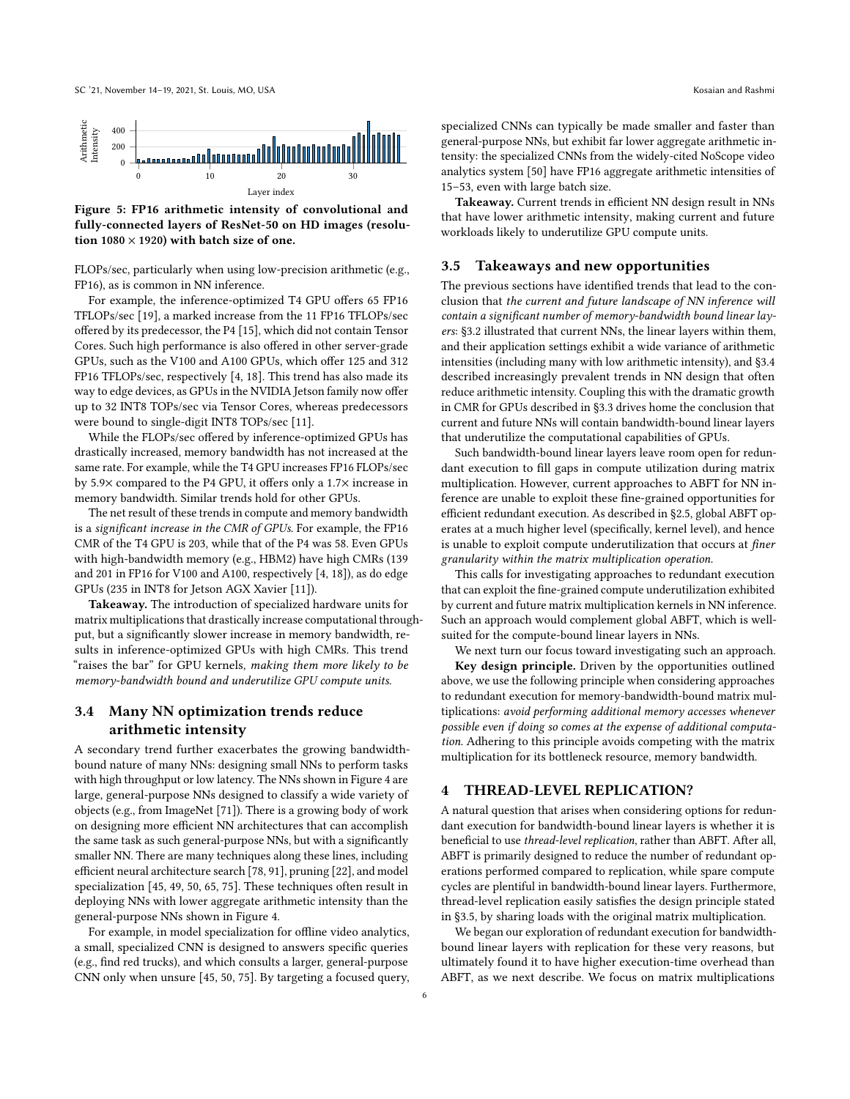<span id="page-5-0"></span>

Figure 5: FP16 arithmetic intensity of convolutional and fully-connected layers of ResNet-50 on HD images (resolution 1080  $\times$  1920) with batch size of one.

FLOPs/sec, particularly when using low-precision arithmetic (e.g., FP16), as is common in NN inference.

For example, the inference-optimized T4 GPU offers 65 FP16 TFLOPs/sec [\[19\]](#page-12-34), a marked increase from the 11 FP16 TFLOPs/sec offered by its predecessor, the P4 [\[15\]](#page-12-35), which did not contain Tensor Cores. Such high performance is also offered in other server-grade GPUs, such as the V100 and A100 GPUs, which offer 125 and 312 FP16 TFLOPs/sec, respectively [\[4,](#page-12-36) [18\]](#page-12-13). This trend has also made its way to edge devices, as GPUs in the NVIDIA Jetson family now offer up to 32 INT8 TOPs/sec via Tensor Cores, whereas predecessors were bound to single-digit INT8 TOPs/sec [\[11\]](#page-12-37).

While the FLOPs/sec offered by inference-optimized GPUs has drastically increased, memory bandwidth has not increased at the same rate. For example, while the T4 GPU increases FP16 FLOPs/sec by 5.9× compared to the P4 GPU, it offers only a 1.7× increase in memory bandwidth. Similar trends hold for other GPUs.

The net result of these trends in compute and memory bandwidth is a significant increase in the CMR of GPUs. For example, the FP16 CMR of the T4 GPU is 203, while that of the P4 was 58. Even GPUs with high-bandwidth memory (e.g., HBM2) have high CMRs (139 and 201 in FP16 for V100 and A100, respectively [\[4,](#page-12-36) [18\]](#page-12-13)), as do edge GPUs (235 in INT8 for Jetson AGX Xavier [\[11\]](#page-12-37)).

Takeaway. The introduction of specialized hardware units for matrix multiplications that drastically increase computational throughput, but a significantly slower increase in memory bandwidth, results in inference-optimized GPUs with high CMRs. This trend "raises the bar" for GPU kernels, making them more likely to be memory-bandwidth bound and underutilize GPU compute units.

# <span id="page-5-1"></span>3.4 Many NN optimization trends reduce arithmetic intensity

A secondary trend further exacerbates the growing bandwidthbound nature of many NNs: designing small NNs to perform tasks with high throughput or low latency. The NNs shown in Figure [4](#page-4-1) are large, general-purpose NNs designed to classify a wide variety of objects (e.g., from ImageNet [\[71\]](#page-13-19)). There is a growing body of work on designing more efficient NN architectures that can accomplish the same task as such general-purpose NNs, but with a significantly smaller NN. There are many techniques along these lines, including efficient neural architecture search [\[78,](#page-13-12) [91\]](#page-13-20), pruning [\[22\]](#page-12-23), and model specialization [\[45,](#page-12-20) [49,](#page-12-21) [50,](#page-12-22) [65,](#page-13-13) [75\]](#page-13-14). These techniques often result in deploying NNs with lower aggregate arithmetic intensity than the general-purpose NNs shown in Figure [4.](#page-4-1)

For example, in model specialization for offline video analytics, a small, specialized CNN is designed to answers specific queries (e.g., find red trucks), and which consults a larger, general-purpose CNN only when unsure [\[45,](#page-12-20) [50,](#page-12-22) [75\]](#page-13-14). By targeting a focused query,

specialized CNNs can typically be made smaller and faster than general-purpose NNs, but exhibit far lower aggregate arithmetic intensity: the specialized CNNs from the widely-cited NoScope video analytics system [\[50\]](#page-12-22) have FP16 aggregate arithmetic intensities of 15–53, even with large batch size.

Takeaway. Current trends in efficient NN design result in NNs that have lower arithmetic intensity, making current and future workloads likely to underutilize GPU compute units.

#### <span id="page-5-2"></span>3.5 Takeaways and new opportunities

The previous sections have identified trends that lead to the conclusion that the current and future landscape of NN inference will contain a significant number of memory-bandwidth bound linear layers: [§3.2](#page-4-3) illustrated that current NNs, the linear layers within them, and their application settings exhibit a wide variance of arithmetic intensities (including many with low arithmetic intensity), and [§3.4](#page-5-1) described increasingly prevalent trends in NN design that often reduce arithmetic intensity. Coupling this with the dramatic growth in CMR for GPUs described in [§3.3](#page-4-4) drives home the conclusion that current and future NNs will contain bandwidth-bound linear layers that underutilize the computational capabilities of GPUs.

Such bandwidth-bound linear layers leave room open for redundant execution to fill gaps in compute utilization during matrix multiplication. However, current approaches to ABFT for NN inference are unable to exploit these fine-grained opportunities for efficient redundant execution. As described in [§2.5,](#page-3-3) global ABFT operates at a much higher level (specifically, kernel level), and hence is unable to exploit compute underutilization that occurs at finer granularity within the matrix multiplication operation.

This calls for investigating approaches to redundant execution that can exploit the fine-grained compute underutilization exhibited by current and future matrix multiplication kernels in NN inference. Such an approach would complement global ABFT, which is wellsuited for the compute-bound linear layers in NNs.

We next turn our focus toward investigating such an approach. Key design principle. Driven by the opportunities outlined above, we use the following principle when considering approaches to redundant execution for memory-bandwidth-bound matrix multiplications: avoid performing additional memory accesses whenever possible even if doing so comes at the expense of additional computation. Adhering to this principle avoids competing with the matrix multiplication for its bottleneck resource, memory bandwidth.

#### <span id="page-5-3"></span>4 THREAD-LEVEL REPLICATION?

A natural question that arises when considering options for redundant execution for bandwidth-bound linear layers is whether it is beneficial to use thread-level replication, rather than ABFT. After all, ABFT is primarily designed to reduce the number of redundant operations performed compared to replication, while spare compute cycles are plentiful in bandwidth-bound linear layers. Furthermore, thread-level replication easily satisfies the design principle stated in [§3.5,](#page-5-2) by sharing loads with the original matrix multiplication.

We began our exploration of redundant execution for bandwidthbound linear layers with replication for these very reasons, but ultimately found it to have higher execution-time overhead than ABFT, as we next describe. We focus on matrix multiplications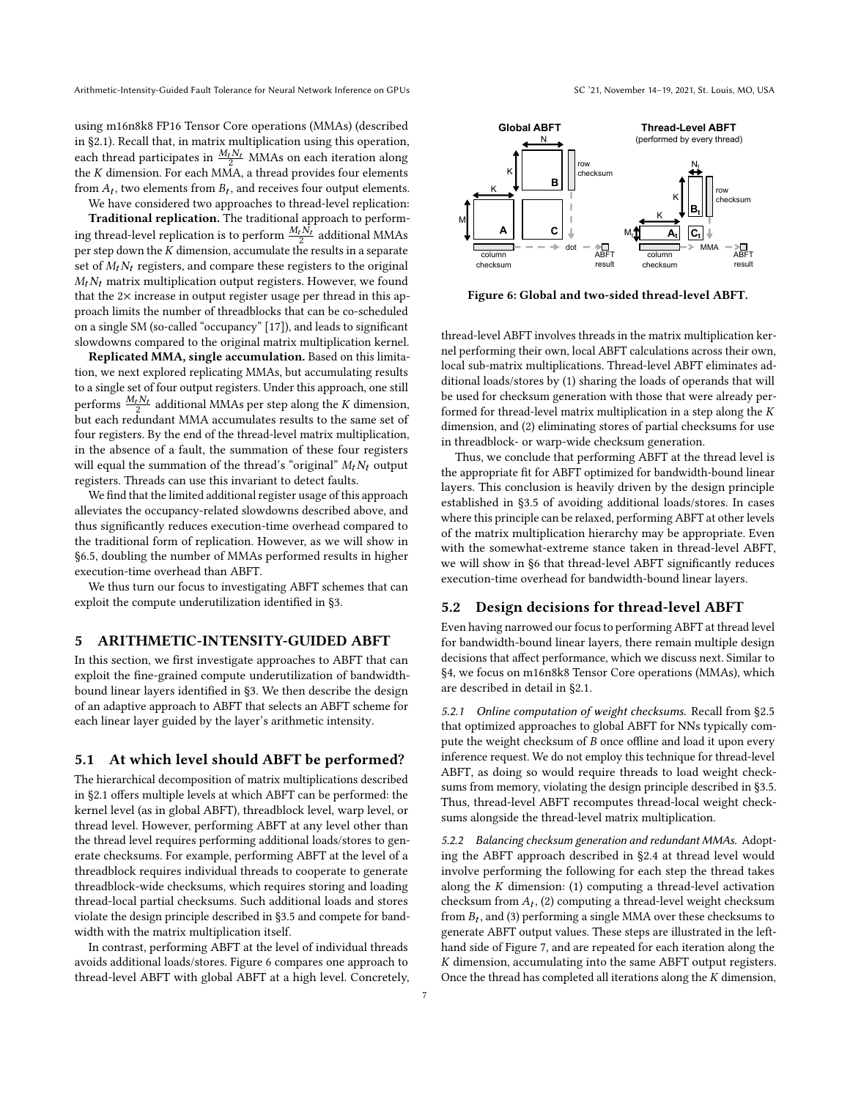using m16n8k8 FP16 Tensor Core operations (MMAs) (described in [§2.1\)](#page-2-0). Recall that, in matrix multiplication using this operation, each thread participates in  $\frac{M_t N_t}{2}$  MMAs on each iteration along the  $K$  dimension. For each MMA, a thread provides four elements from  $A_t$ , two elements from  $B_t$ , and receives four output elements. We have considered two approaches to thread-level replication:

Traditional replication. The traditional approach to performing thread-level replication is to perform  $\frac{M_t \dot{N_t}}{2}$  additional MMAs per step down the  $K$  dimension, accumulate the results in a separate set of  $M_t N_t$  registers, and compare these registers to the original  $M_t N_t$  matrix multiplication output registers. However, we found that the 2× increase in output register usage per thread in this approach limits the number of threadblocks that can be co-scheduled on a single SM (so-called "occupancy" [\[17\]](#page-12-38)), and leads to significant

slowdowns compared to the original matrix multiplication kernel. Replicated MMA, single accumulation. Based on this limitation, we next explored replicating MMAs, but accumulating results to a single set of four output registers. Under this approach, one still performs  $\frac{M_t N_t}{2}$  additional MMAs per step along the K dimension, but each redundant MMA accumulates results to the same set of four registers. By the end of the thread-level matrix multiplication, in the absence of a fault, the summation of these four registers will equal the summation of the thread's "original"  $M_t N_t$  output registers. Threads can use this invariant to detect faults.

We find that the limited additional register usage of this approach alleviates the occupancy-related slowdowns described above, and thus significantly reduces execution-time overhead compared to the traditional form of replication. However, as we will show in [§6.5,](#page-10-0) doubling the number of MMAs performed results in higher execution-time overhead than ABFT.

We thus turn our focus to investigating ABFT schemes that can exploit the compute underutilization identified in [§3.](#page-3-1)

# <span id="page-6-2"></span>5 ARITHMETIC-INTENSITY-GUIDED ABFT

In this section, we first investigate approaches to ABFT that can exploit the fine-grained compute underutilization of bandwidthbound linear layers identified in [§3.](#page-3-1) We then describe the design of an adaptive approach to ABFT that selects an ABFT scheme for each linear layer guided by the layer's arithmetic intensity.

#### 5.1 At which level should ABFT be performed?

The hierarchical decomposition of matrix multiplications described in [§2.1](#page-2-0) offers multiple levels at which ABFT can be performed: the kernel level (as in global ABFT), threadblock level, warp level, or thread level. However, performing ABFT at any level other than the thread level requires performing additional loads/stores to generate checksums. For example, performing ABFT at the level of a threadblock requires individual threads to cooperate to generate threadblock-wide checksums, which requires storing and loading thread-local partial checksums. Such additional loads and stores violate the design principle described in [§3.5](#page-5-2) and compete for bandwidth with the matrix multiplication itself.

In contrast, performing ABFT at the level of individual threads avoids additional loads/stores. Figure [6](#page-6-0) compares one approach to thread-level ABFT with global ABFT at a high level. Concretely,

<span id="page-6-0"></span>

Figure 6: Global and two-sided thread-level ABFT.

thread-level ABFT involves threads in the matrix multiplication kernel performing their own, local ABFT calculations across their own, local sub-matrix multiplications. Thread-level ABFT eliminates additional loads/stores by (1) sharing the loads of operands that will be used for checksum generation with those that were already performed for thread-level matrix multiplication in a step along the  $K$ dimension, and (2) eliminating stores of partial checksums for use in threadblock- or warp-wide checksum generation.

Thus, we conclude that performing ABFT at the thread level is the appropriate fit for ABFT optimized for bandwidth-bound linear layers. This conclusion is heavily driven by the design principle established in [§3.5](#page-5-2) of avoiding additional loads/stores. In cases where this principle can be relaxed, performing ABFT at other levels of the matrix multiplication hierarchy may be appropriate. Even with the somewhat-extreme stance taken in thread-level ABFT, we will show in [§6](#page-7-0) that thread-level ABFT significantly reduces execution-time overhead for bandwidth-bound linear layers.

#### 5.2 Design decisions for thread-level ABFT

Even having narrowed our focus to performing ABFT at thread level for bandwidth-bound linear layers, there remain multiple design decisions that affect performance, which we discuss next. Similar to [§4,](#page-5-3) we focus on m16n8k8 Tensor Core operations (MMAs), which are described in detail in [§2.1.](#page-2-0)

5.2.1 Online computation of weight checksums. Recall from [§2.5](#page-3-3) that optimized approaches to global ABFT for NNs typically compute the weight checksum of  $B$  once offline and load it upon every inference request. We do not employ this technique for thread-level ABFT, as doing so would require threads to load weight checksums from memory, violating the design principle described in [§3.5.](#page-5-2) Thus, thread-level ABFT recomputes thread-local weight checksums alongside the thread-level matrix multiplication.

<span id="page-6-1"></span>5.2.2 Balancing checksum generation and redundant MMAs. Adopting the ABFT approach described in [§2.4](#page-3-4) at thread level would involve performing the following for each step the thread takes along the  $K$  dimension: (1) computing a thread-level activation checksum from  $A_t$ , (2) computing a thread-level weight checksum from  $B_t$ , and (3) performing a single MMA over these checksums to generate ABFT output values. These steps are illustrated in the lefthand side of Figure [7,](#page-7-1) and are repeated for each iteration along the  $K$  dimension, accumulating into the same ABFT output registers. Once the thread has completed all iterations along the  $K$  dimension,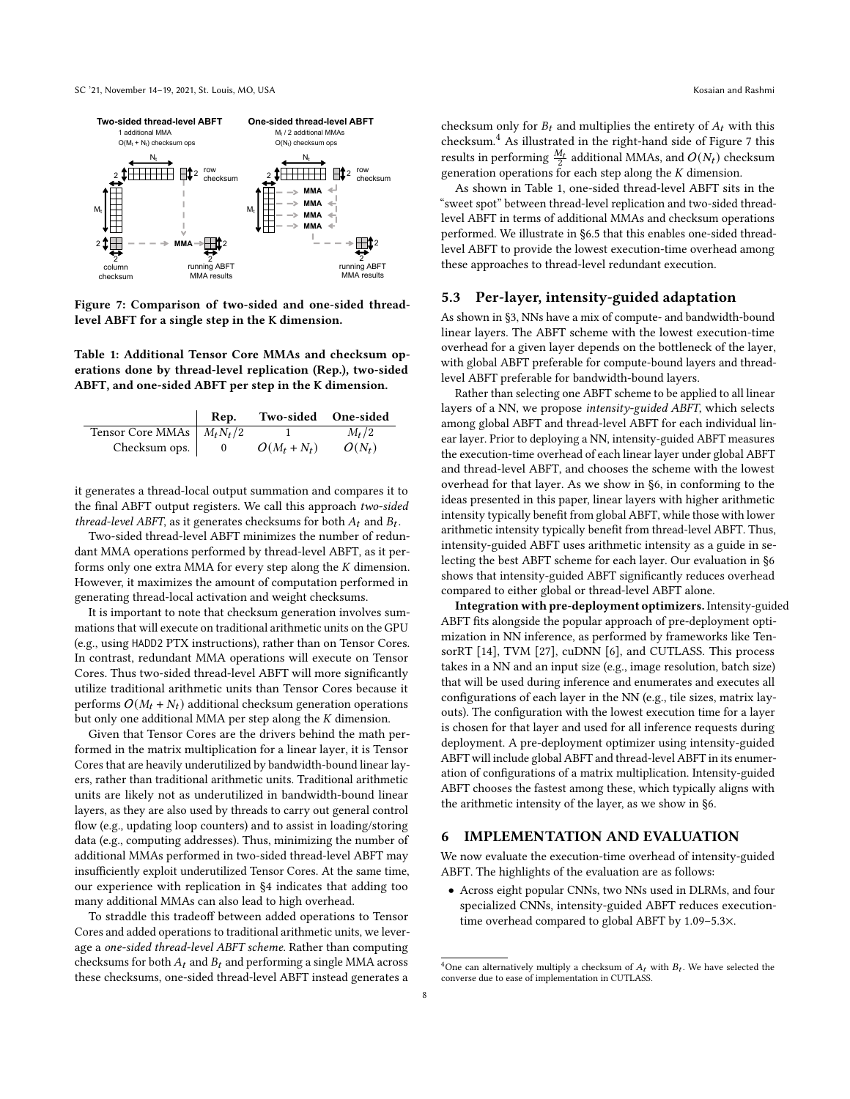<span id="page-7-1"></span>

Figure 7: Comparison of two-sided and one-sided threadlevel ABFT for a single step in the K dimension.

<span id="page-7-3"></span>Table 1: Additional Tensor Core MMAs and checksum operations done by thread-level replication (Rep.), two-sided ABFT, and one-sided ABFT per step in the K dimension.

|                                        | Rep. | Two-sided One-sided |          |
|----------------------------------------|------|---------------------|----------|
| Tensor Core MMAs $\mid M_t N_t/2 \mid$ |      |                     | $M_t/2$  |
| Checksum ops.   0                      |      | $O(M_t + N_t)$      | $O(N_t)$ |

it generates a thread-local output summation and compares it to the final ABFT output registers. We call this approach two-sided thread-level ABFT, as it generates checksums for both  $A_t$  and  $B_t$ .

Two-sided thread-level ABFT minimizes the number of redundant MMA operations performed by thread-level ABFT, as it performs only one extra MMA for every step along the  $K$  dimension. However, it maximizes the amount of computation performed in generating thread-local activation and weight checksums.

It is important to note that checksum generation involves summations that will execute on traditional arithmetic units on the GPU (e.g., using HADD2 PTX instructions), rather than on Tensor Cores. In contrast, redundant MMA operations will execute on Tensor Cores. Thus two-sided thread-level ABFT will more significantly utilize traditional arithmetic units than Tensor Cores because it performs  $O(M_t + N_t)$  additional checksum generation operations but only one additional MMA per step along the  $K$  dimension.

Given that Tensor Cores are the drivers behind the math performed in the matrix multiplication for a linear layer, it is Tensor Cores that are heavily underutilized by bandwidth-bound linear layers, rather than traditional arithmetic units. Traditional arithmetic units are likely not as underutilized in bandwidth-bound linear layers, as they are also used by threads to carry out general control flow (e.g., updating loop counters) and to assist in loading/storing data (e.g., computing addresses). Thus, minimizing the number of additional MMAs performed in two-sided thread-level ABFT may insufficiently exploit underutilized Tensor Cores. At the same time, our experience with replication in [§4](#page-5-3) indicates that adding too many additional MMAs can also lead to high overhead.

To straddle this tradeoff between added operations to Tensor Cores and added operations to traditional arithmetic units, we leverage a one-sided thread-level ABFT scheme. Rather than computing checksums for both  $A_t$  and  $B_t$  and performing a single MMA across these checksums, one-sided thread-level ABFT instead generates a

checksum only for  $B_t$  and multiplies the entirety of  $A_t$  with this checksum.[4](#page-7-2) As illustrated in the right-hand side of Figure [7](#page-7-1) this results in performing  $\frac{M_t}{2}$  additional MMAs, and  $O(N_t)$  checksum generation operations for each step along the  $K$  dimension.

As shown in Table [1,](#page-7-3) one-sided thread-level ABFT sits in the "sweet spot" between thread-level replication and two-sided threadlevel ABFT in terms of additional MMAs and checksum operations performed. We illustrate in [§6.5](#page-10-0) that this enables one-sided threadlevel ABFT to provide the lowest execution-time overhead among these approaches to thread-level redundant execution.

## <span id="page-7-4"></span>5.3 Per-layer, intensity-guided adaptation

As shown in [§3,](#page-3-1) NNs have a mix of compute- and bandwidth-bound linear layers. The ABFT scheme with the lowest execution-time overhead for a given layer depends on the bottleneck of the layer, with global ABFT preferable for compute-bound layers and threadlevel ABFT preferable for bandwidth-bound layers.

Rather than selecting one ABFT scheme to be applied to all linear layers of a NN, we propose intensity-guided ABFT, which selects among global ABFT and thread-level ABFT for each individual linear layer. Prior to deploying a NN, intensity-guided ABFT measures the execution-time overhead of each linear layer under global ABFT and thread-level ABFT, and chooses the scheme with the lowest overhead for that layer. As we show in [§6,](#page-7-0) in conforming to the ideas presented in this paper, linear layers with higher arithmetic intensity typically benefit from global ABFT, while those with lower arithmetic intensity typically benefit from thread-level ABFT. Thus, intensity-guided ABFT uses arithmetic intensity as a guide in selecting the best ABFT scheme for each layer. Our evaluation in [§6](#page-7-0) shows that intensity-guided ABFT significantly reduces overhead compared to either global or thread-level ABFT alone.

Integration with pre-deployment optimizers. Intensity-guided ABFT fits alongside the popular approach of pre-deployment optimization in NN inference, as performed by frameworks like TensorRT [\[14\]](#page-12-39), TVM [\[27\]](#page-12-40), cuDNN [\[6\]](#page-12-41), and CUTLASS. This process takes in a NN and an input size (e.g., image resolution, batch size) that will be used during inference and enumerates and executes all configurations of each layer in the NN (e.g., tile sizes, matrix layouts). The configuration with the lowest execution time for a layer is chosen for that layer and used for all inference requests during deployment. A pre-deployment optimizer using intensity-guided ABFT will include global ABFT and thread-level ABFT in its enumeration of configurations of a matrix multiplication. Intensity-guided ABFT chooses the fastest among these, which typically aligns with the arithmetic intensity of the layer, as we show in [§6.](#page-7-0)

## <span id="page-7-0"></span>6 IMPLEMENTATION AND EVALUATION

We now evaluate the execution-time overhead of intensity-guided ABFT. The highlights of the evaluation are as follows:

• Across eight popular CNNs, two NNs used in DLRMs, and four specialized CNNs, intensity-guided ABFT reduces executiontime overhead compared to global ABFT by 1.09–5.3×.

<span id="page-7-2"></span><sup>&</sup>lt;sup>4</sup>One can alternatively multiply a checksum of  $A_t$  with  $B_t$ . We have selected the converse due to ease of implementation in CUTLASS.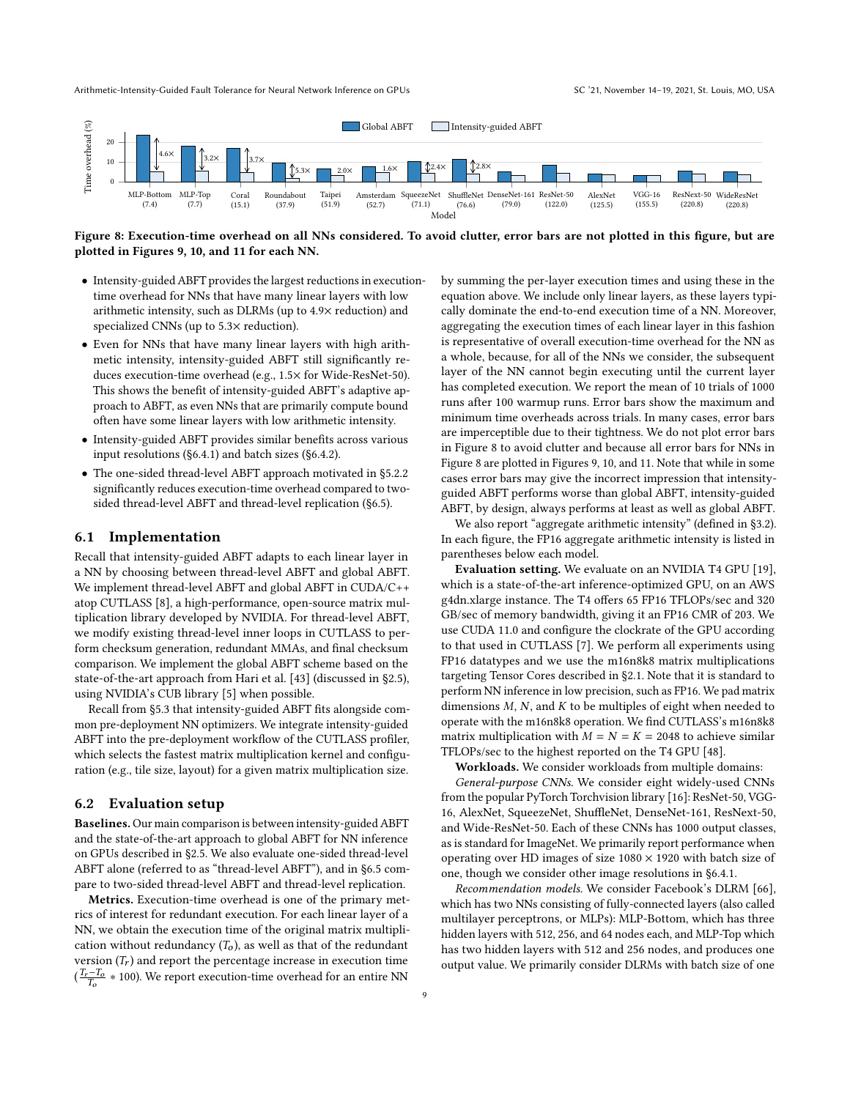<span id="page-8-0"></span>

Figure 8: Execution-time overhead on all NNs considered. To avoid clutter, error bars are not plotted in this figure, but are plotted in Figures [9,](#page-9-0) [10,](#page-9-1) and [11](#page-10-1) for each NN.

- Intensity-guided ABFT provides the largest reductions in executiontime overhead for NNs that have many linear layers with low arithmetic intensity, such as DLRMs (up to 4.9× reduction) and specialized CNNs (up to 5.3× reduction).
- Even for NNs that have many linear layers with high arithmetic intensity, intensity-guided ABFT still significantly reduces execution-time overhead (e.g., 1.5× for Wide-ResNet-50). This shows the benefit of intensity-guided ABFT's adaptive approach to ABFT, as even NNs that are primarily compute bound often have some linear layers with low arithmetic intensity.
- Intensity-guided ABFT provides similar benefits across various input resolutions ([§6.4.1\)](#page-9-2) and batch sizes ([§6.4.2\)](#page-9-3).
- The one-sided thread-level ABFT approach motivated in [§5.2.2](#page-6-1) significantly reduces execution-time overhead compared to twosided thread-level ABFT and thread-level replication ([§6.5\)](#page-10-0).

#### 6.1 Implementation

Recall that intensity-guided ABFT adapts to each linear layer in a NN by choosing between thread-level ABFT and global ABFT. We implement thread-level ABFT and global ABFT in CUDA/C++ atop CUTLASS [\[8\]](#page-12-24), a high-performance, open-source matrix multiplication library developed by NVIDIA. For thread-level ABFT, we modify existing thread-level inner loops in CUTLASS to perform checksum generation, redundant MMAs, and final checksum comparison. We implement the global ABFT scheme based on the state-of-the-art approach from Hari et al. [\[43\]](#page-12-12) (discussed in [§2.5\)](#page-3-3), using NVIDIA's CUB library [\[5\]](#page-12-42) when possible.

Recall from [§5.3](#page-7-4) that intensity-guided ABFT fits alongside common pre-deployment NN optimizers. We integrate intensity-guided ABFT into the pre-deployment workflow of the CUTLASS profiler, which selects the fastest matrix multiplication kernel and configuration (e.g., tile size, layout) for a given matrix multiplication size.

#### 6.2 Evaluation setup

Baselines. Our main comparison is between intensity-guided ABFT and the state-of-the-art approach to global ABFT for NN inference on GPUs described in [§2.5.](#page-3-3) We also evaluate one-sided thread-level ABFT alone (referred to as "thread-level ABFT"), and in [§6.5](#page-10-0) compare to two-sided thread-level ABFT and thread-level replication.

Metrics. Execution-time overhead is one of the primary metrics of interest for redundant execution. For each linear layer of a NN, we obtain the execution time of the original matrix multiplication without redundancy  $(T_o)$ , as well as that of the redundant version  $(T_r)$  and report the percentage increase in execution time  $(\frac{T_r - T_o}{T_o} * 100)$ . We report execution-time overhead for an entire NN

by summing the per-layer execution times and using these in the equation above. We include only linear layers, as these layers typically dominate the end-to-end execution time of a NN. Moreover, aggregating the execution times of each linear layer in this fashion is representative of overall execution-time overhead for the NN as a whole, because, for all of the NNs we consider, the subsequent layer of the NN cannot begin executing until the current layer has completed execution. We report the mean of 10 trials of 1000 runs after 100 warmup runs. Error bars show the maximum and minimum time overheads across trials. In many cases, error bars are imperceptible due to their tightness. We do not plot error bars in Figure [8](#page-8-0) to avoid clutter and because all error bars for NNs in Figure [8](#page-8-0) are plotted in Figures [9,](#page-9-0) [10,](#page-9-1) and [11.](#page-10-1) Note that while in some cases error bars may give the incorrect impression that intensityguided ABFT performs worse than global ABFT, intensity-guided ABFT, by design, always performs at least as well as global ABFT.

We also report "aggregate arithmetic intensity" (defined in [§3.2\)](#page-4-3). In each figure, the FP16 aggregate arithmetic intensity is listed in parentheses below each model.

Evaluation setting. We evaluate on an NVIDIA T4 GPU [\[19\]](#page-12-34), which is a state-of-the-art inference-optimized GPU, on an AWS g4dn.xlarge instance. The T4 offers 65 FP16 TFLOPs/sec and 320 GB/sec of memory bandwidth, giving it an FP16 CMR of 203. We use CUDA 11.0 and configure the clockrate of the GPU according to that used in CUTLASS [\[7\]](#page-12-43). We perform all experiments using FP16 datatypes and we use the m16n8k8 matrix multiplications targeting Tensor Cores described in [§2.1.](#page-2-0) Note that it is standard to perform NN inference in low precision, such as FP16. We pad matrix dimensions  $M$ ,  $N$ , and  $K$  to be multiples of eight when needed to operate with the m16n8k8 operation. We find CUTLASS's m16n8k8 matrix multiplication with  $M = N = K = 2048$  to achieve similar TFLOPs/sec to the highest reported on the T4 GPU [\[48\]](#page-12-44).

Workloads. We consider workloads from multiple domains:

General-purpose CNNs. We consider eight widely-used CNNs from the popular PyTorch Torchvision library [\[16\]](#page-12-31): ResNet-50, VGG-16, AlexNet, SqueezeNet, ShuffleNet, DenseNet-161, ResNext-50, and Wide-ResNet-50. Each of these CNNs has 1000 output classes, as is standard for ImageNet. We primarily report performance when operating over HD images of size  $1080 \times 1920$  with batch size of one, though we consider other image resolutions in [§6.4.1.](#page-9-2)

Recommendation models. We consider Facebook's DLRM [\[66\]](#page-13-1), which has two NNs consisting of fully-connected layers (also called multilayer perceptrons, or MLPs): MLP-Bottom, which has three hidden layers with 512, 256, and 64 nodes each, and MLP-Top which has two hidden layers with 512 and 256 nodes, and produces one output value. We primarily consider DLRMs with batch size of one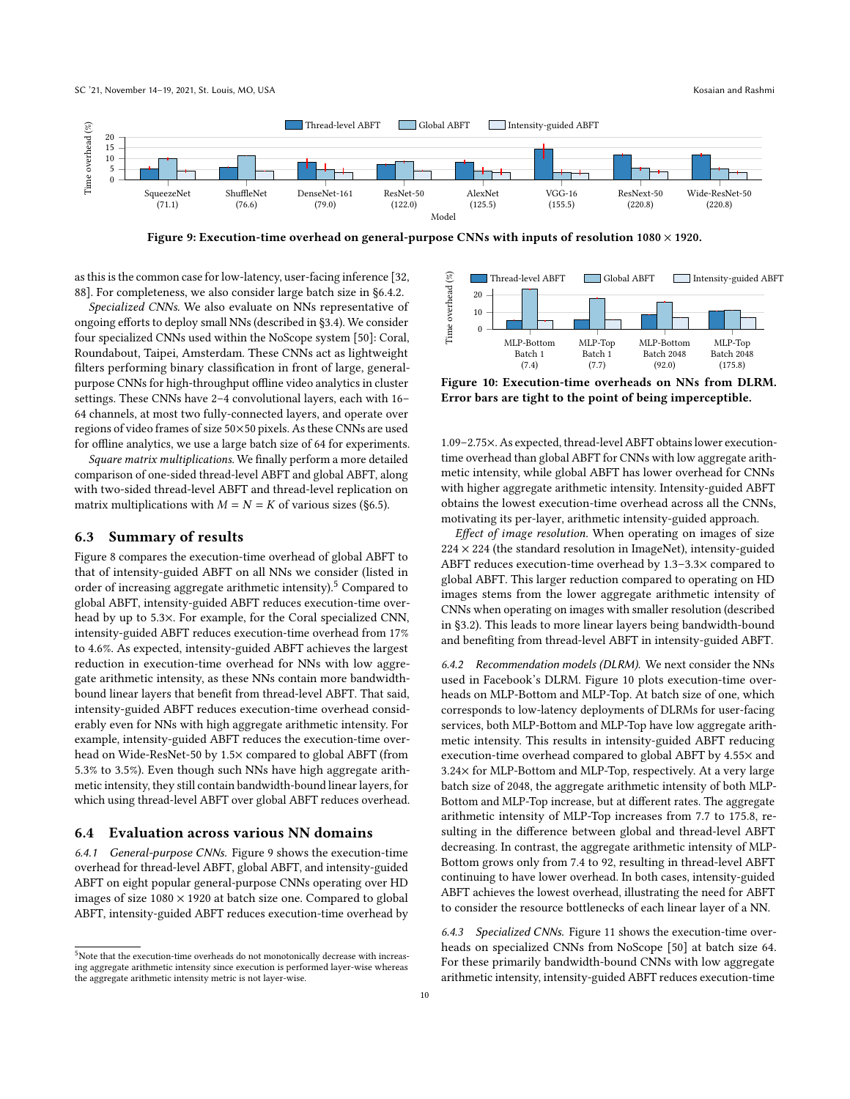SC '21, November 14-19, 2021, St. Louis, MO, USA Kosaian and Rashmi

<span id="page-9-0"></span>

Figure 9: Execution-time overhead on general-purpose CNNs with inputs of resolution  $1080 \times 1920$ .

as this is the common case for low-latency, user-facing inference [\[32,](#page-12-32) [88\]](#page-13-18). For completeness, we also consider large batch size in [§6.4.2.](#page-9-3)

Specialized CNNs. We also evaluate on NNs representative of ongoing efforts to deploy small NNs (described in [§3.4\)](#page-5-1). We consider four specialized CNNs used within the NoScope system [\[50\]](#page-12-22): Coral, Roundabout, Taipei, Amsterdam. These CNNs act as lightweight filters performing binary classification in front of large, generalpurpose CNNs for high-throughput offline video analytics in cluster settings. These CNNs have 2–4 convolutional layers, each with 16– 64 channels, at most two fully-connected layers, and operate over regions of video frames of size 50×50 pixels. As these CNNs are used for offline analytics, we use a large batch size of 64 for experiments.

Square matrix multiplications. We finally perform a more detailed comparison of one-sided thread-level ABFT and global ABFT, along with two-sided thread-level ABFT and thread-level replication on matrix multiplications with  $M = N = K$  of various sizes ([§6.5\)](#page-10-0).

#### 6.3 Summary of results

Figure [8](#page-8-0) compares the execution-time overhead of global ABFT to that of intensity-guided ABFT on all NNs we consider (listed in order of increasing aggregate arithmetic intensity).<sup>[5](#page-9-4)</sup> Compared to global ABFT, intensity-guided ABFT reduces execution-time overhead by up to 5.3×. For example, for the Coral specialized CNN, intensity-guided ABFT reduces execution-time overhead from 17% to 4.6%. As expected, intensity-guided ABFT achieves the largest reduction in execution-time overhead for NNs with low aggregate arithmetic intensity, as these NNs contain more bandwidthbound linear layers that benefit from thread-level ABFT. That said, intensity-guided ABFT reduces execution-time overhead considerably even for NNs with high aggregate arithmetic intensity. For example, intensity-guided ABFT reduces the execution-time overhead on Wide-ResNet-50 by 1.5× compared to global ABFT (from 5.3% to 3.5%). Even though such NNs have high aggregate arithmetic intensity, they still contain bandwidth-bound linear layers, for which using thread-level ABFT over global ABFT reduces overhead.

#### 6.4 Evaluation across various NN domains

<span id="page-9-2"></span>6.4.1 General-purpose CNNs. Figure [9](#page-9-0) shows the execution-time overhead for thread-level ABFT, global ABFT, and intensity-guided ABFT on eight popular general-purpose CNNs operating over HD images of size  $1080 \times 1920$  at batch size one. Compared to global ABFT, intensity-guided ABFT reduces execution-time overhead by

<span id="page-9-1"></span>

Figure 10: Execution-time overheads on NNs from DLRM. Error bars are tight to the point of being imperceptible.

1.09–2.75×. As expected, thread-level ABFT obtains lower executiontime overhead than global ABFT for CNNs with low aggregate arithmetic intensity, while global ABFT has lower overhead for CNNs with higher aggregate arithmetic intensity. Intensity-guided ABFT obtains the lowest execution-time overhead across all the CNNs, motivating its per-layer, arithmetic intensity-guided approach.

Effect of image resolution. When operating on images of size  $224 \times 224$  (the standard resolution in ImageNet), intensity-guided ABFT reduces execution-time overhead by 1.3–3.3× compared to global ABFT. This larger reduction compared to operating on HD images stems from the lower aggregate arithmetic intensity of CNNs when operating on images with smaller resolution (described in [§3.2\)](#page-4-3). This leads to more linear layers being bandwidth-bound and benefiting from thread-level ABFT in intensity-guided ABFT.

<span id="page-9-3"></span>6.4.2 Recommendation models (DLRM). We next consider the NNs used in Facebook's DLRM. Figure [10](#page-9-1) plots execution-time overheads on MLP-Bottom and MLP-Top. At batch size of one, which corresponds to low-latency deployments of DLRMs for user-facing services, both MLP-Bottom and MLP-Top have low aggregate arithmetic intensity. This results in intensity-guided ABFT reducing execution-time overhead compared to global ABFT by 4.55× and 3.24× for MLP-Bottom and MLP-Top, respectively. At a very large batch size of 2048, the aggregate arithmetic intensity of both MLP-Bottom and MLP-Top increase, but at different rates. The aggregate arithmetic intensity of MLP-Top increases from 7.7 to 175.8, resulting in the difference between global and thread-level ABFT decreasing. In contrast, the aggregate arithmetic intensity of MLP-Bottom grows only from 7.4 to 92, resulting in thread-level ABFT continuing to have lower overhead. In both cases, intensity-guided ABFT achieves the lowest overhead, illustrating the need for ABFT to consider the resource bottlenecks of each linear layer of a NN.

6.4.3 Specialized CNNs. Figure [11](#page-10-1) shows the execution-time overheads on specialized CNNs from NoScope [\[50\]](#page-12-22) at batch size 64. For these primarily bandwidth-bound CNNs with low aggregate arithmetic intensity, intensity-guided ABFT reduces execution-time

<span id="page-9-4"></span> $5$ Note that the execution-time overheads do not monotonically decrease with increasing aggregate arithmetic intensity since execution is performed layer-wise whereas the aggregate arithmetic intensity metric is not layer-wise.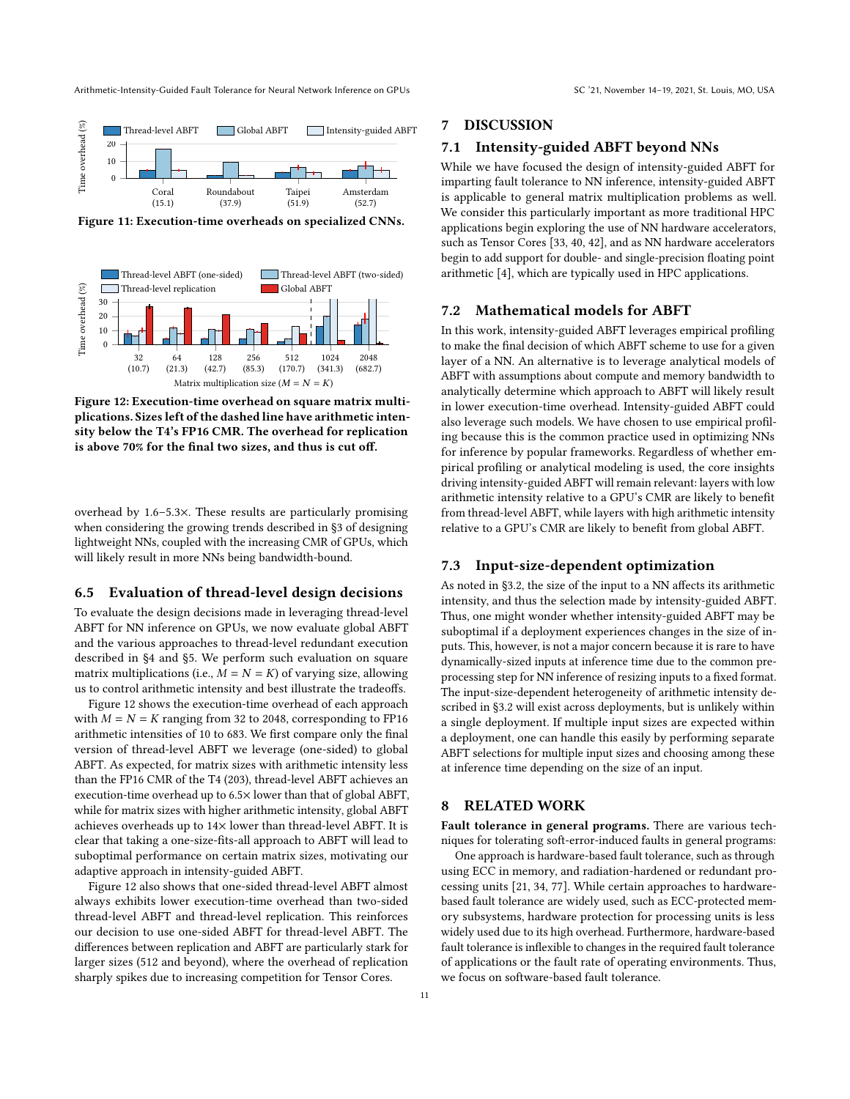<span id="page-10-1"></span>

Figure 11: Execution-time overheads on specialized CNNs.

<span id="page-10-2"></span>

Figure 12: Execution-time overhead on square matrix multiplications. Sizes left of the dashed line have arithmetic intensity below the T4's FP16 CMR. The overhead for replication is above 70% for the final two sizes, and thus is cut off.

overhead by 1.6–5.3×. These results are particularly promising when considering the growing trends described in [§3](#page-3-1) of designing lightweight NNs, coupled with the increasing CMR of GPUs, which will likely result in more NNs being bandwidth-bound.

#### <span id="page-10-0"></span>6.5 Evaluation of thread-level design decisions

To evaluate the design decisions made in leveraging thread-level ABFT for NN inference on GPUs, we now evaluate global ABFT and the various approaches to thread-level redundant execution described in [§4](#page-5-3) and [§5.](#page-6-2) We perform such evaluation on square matrix multiplications (i.e.,  $M = N = K$ ) of varying size, allowing us to control arithmetic intensity and best illustrate the tradeoffs.

Figure [12](#page-10-2) shows the execution-time overhead of each approach with  $M = N = K$  ranging from 32 to 2048, corresponding to FP16 arithmetic intensities of 10 to 683. We first compare only the final version of thread-level ABFT we leverage (one-sided) to global ABFT. As expected, for matrix sizes with arithmetic intensity less than the FP16 CMR of the T4 (203), thread-level ABFT achieves an execution-time overhead up to 6.5× lower than that of global ABFT, while for matrix sizes with higher arithmetic intensity, global ABFT achieves overheads up to 14× lower than thread-level ABFT. It is clear that taking a one-size-fits-all approach to ABFT will lead to suboptimal performance on certain matrix sizes, motivating our adaptive approach in intensity-guided ABFT.

Figure [12](#page-10-2) also shows that one-sided thread-level ABFT almost always exhibits lower execution-time overhead than two-sided thread-level ABFT and thread-level replication. This reinforces our decision to use one-sided ABFT for thread-level ABFT. The differences between replication and ABFT are particularly stark for larger sizes (512 and beyond), where the overhead of replication sharply spikes due to increasing competition for Tensor Cores.

# 7 DISCUSSION

#### 7.1 Intensity-guided ABFT beyond NNs

While we have focused the design of intensity-guided ABFT for imparting fault tolerance to NN inference, intensity-guided ABFT is applicable to general matrix multiplication problems as well. We consider this particularly important as more traditional HPC applications begin exploring the use of NN hardware accelerators, such as Tensor Cores [\[33,](#page-12-45) [40,](#page-12-46) [42\]](#page-12-47), and as NN hardware accelerators begin to add support for double- and single-precision floating point arithmetic [\[4\]](#page-12-36), which are typically used in HPC applications.

#### 7.2 Mathematical models for ABFT

In this work, intensity-guided ABFT leverages empirical profiling to make the final decision of which ABFT scheme to use for a given layer of a NN. An alternative is to leverage analytical models of ABFT with assumptions about compute and memory bandwidth to analytically determine which approach to ABFT will likely result in lower execution-time overhead. Intensity-guided ABFT could also leverage such models. We have chosen to use empirical profiling because this is the common practice used in optimizing NNs for inference by popular frameworks. Regardless of whether empirical profiling or analytical modeling is used, the core insights driving intensity-guided ABFT will remain relevant: layers with low arithmetic intensity relative to a GPU's CMR are likely to benefit from thread-level ABFT, while layers with high arithmetic intensity relative to a GPU's CMR are likely to benefit from global ABFT.

#### 7.3 Input-size-dependent optimization

As noted in [§3.2,](#page-4-3) the size of the input to a NN affects its arithmetic intensity, and thus the selection made by intensity-guided ABFT. Thus, one might wonder whether intensity-guided ABFT may be suboptimal if a deployment experiences changes in the size of inputs. This, however, is not a major concern because it is rare to have dynamically-sized inputs at inference time due to the common preprocessing step for NN inference of resizing inputs to a fixed format. The input-size-dependent heterogeneity of arithmetic intensity described in [§3.2](#page-4-3) will exist across deployments, but is unlikely within a single deployment. If multiple input sizes are expected within a deployment, one can handle this easily by performing separate ABFT selections for multiple input sizes and choosing among these at inference time depending on the size of an input.

#### 8 RELATED WORK

Fault tolerance in general programs. There are various techniques for tolerating soft-error-induced faults in general programs:

One approach is hardware-based fault tolerance, such as through using ECC in memory, and radiation-hardened or redundant processing units [\[21,](#page-12-14) [34,](#page-12-48) [77\]](#page-13-21). While certain approaches to hardwarebased fault tolerance are widely used, such as ECC-protected memory subsystems, hardware protection for processing units is less widely used due to its high overhead. Furthermore, hardware-based fault tolerance is inflexible to changes in the required fault tolerance of applications or the fault rate of operating environments. Thus, we focus on software-based fault tolerance.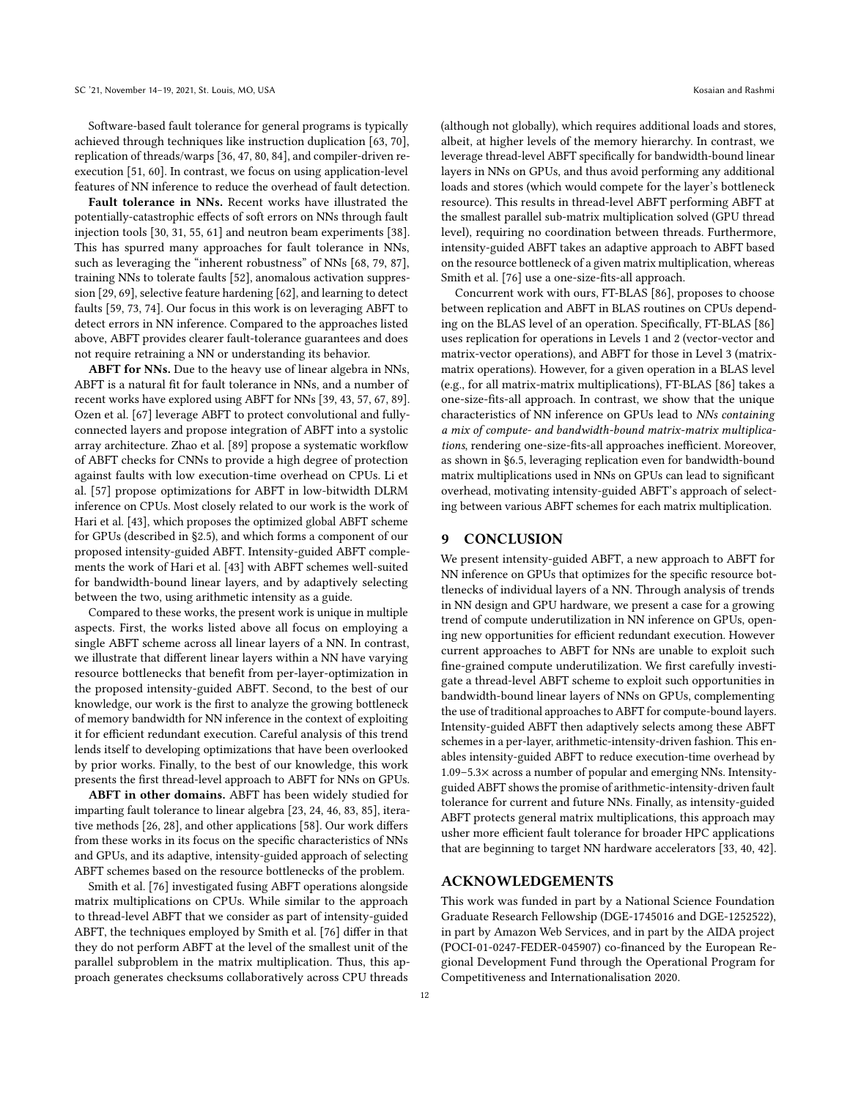Software-based fault tolerance for general programs is typically achieved through techniques like instruction duplication [\[63,](#page-13-22) [70\]](#page-13-23), replication of threads/warps [\[36,](#page-12-49) [47,](#page-12-50) [80,](#page-13-24) [84\]](#page-13-25), and compiler-driven reexecution [\[51,](#page-12-51) [60\]](#page-13-26). In contrast, we focus on using application-level features of NN inference to reduce the overhead of fault detection.

Fault tolerance in NNs. Recent works have illustrated the potentially-catastrophic effects of soft errors on NNs through fault injection tools [\[30,](#page-12-6) [31,](#page-12-7) [55,](#page-12-8) [61\]](#page-13-6) and neutron beam experiments [\[38\]](#page-12-9). This has spurred many approaches for fault tolerance in NNs, such as leveraging the "inherent robustness" of NNs [\[68,](#page-13-27) [79,](#page-13-28) [87\]](#page-13-29), training NNs to tolerate faults [\[52\]](#page-12-52), anomalous activation suppression [\[29,](#page-12-29) [69\]](#page-13-30), selective feature hardening [\[62\]](#page-13-31), and learning to detect faults [\[59,](#page-13-32) [73,](#page-13-33) [74\]](#page-13-34). Our focus in this work is on leveraging ABFT to detect errors in NN inference. Compared to the approaches listed above, ABFT provides clearer fault-tolerance guarantees and does not require retraining a NN or understanding its behavior.

ABFT for NNs. Due to the heavy use of linear algebra in NNs, ABFT is a natural fit for fault tolerance in NNs, and a number of recent works have explored using ABFT for NNs [\[39,](#page-12-53) [43,](#page-12-12) [57,](#page-13-2) [67,](#page-13-8) [89\]](#page-13-9). Ozen et al. [\[67\]](#page-13-8) leverage ABFT to protect convolutional and fullyconnected layers and propose integration of ABFT into a systolic array architecture. Zhao et al. [\[89\]](#page-13-9) propose a systematic workflow of ABFT checks for CNNs to provide a high degree of protection against faults with low execution-time overhead on CPUs. Li et al. [\[57\]](#page-13-2) propose optimizations for ABFT in low-bitwidth DLRM inference on CPUs. Most closely related to our work is the work of Hari et al. [\[43\]](#page-12-12), which proposes the optimized global ABFT scheme for GPUs (described in [§2.5\)](#page-3-3), and which forms a component of our proposed intensity-guided ABFT. Intensity-guided ABFT complements the work of Hari et al. [\[43\]](#page-12-12) with ABFT schemes well-suited for bandwidth-bound linear layers, and by adaptively selecting between the two, using arithmetic intensity as a guide.

Compared to these works, the present work is unique in multiple aspects. First, the works listed above all focus on employing a single ABFT scheme across all linear layers of a NN. In contrast, we illustrate that different linear layers within a NN have varying resource bottlenecks that benefit from per-layer-optimization in the proposed intensity-guided ABFT. Second, to the best of our knowledge, our work is the first to analyze the growing bottleneck of memory bandwidth for NN inference in the context of exploiting it for efficient redundant execution. Careful analysis of this trend lends itself to developing optimizations that have been overlooked by prior works. Finally, to the best of our knowledge, this work presents the first thread-level approach to ABFT for NNs on GPUs.

ABFT in other domains. ABFT has been widely studied for imparting fault tolerance to linear algebra [\[23,](#page-12-15) [24,](#page-12-16) [46,](#page-12-17) [83,](#page-13-10) [85\]](#page-13-5), iterative methods [\[26,](#page-12-54) [28\]](#page-12-18), and other applications [\[58\]](#page-13-11). Our work differs from these works in its focus on the specific characteristics of NNs and GPUs, and its adaptive, intensity-guided approach of selecting ABFT schemes based on the resource bottlenecks of the problem.

Smith et al. [\[76\]](#page-13-35) investigated fusing ABFT operations alongside matrix multiplications on CPUs. While similar to the approach to thread-level ABFT that we consider as part of intensity-guided ABFT, the techniques employed by Smith et al. [\[76\]](#page-13-35) differ in that they do not perform ABFT at the level of the smallest unit of the parallel subproblem in the matrix multiplication. Thus, this approach generates checksums collaboratively across CPU threads

(although not globally), which requires additional loads and stores, albeit, at higher levels of the memory hierarchy. In contrast, we leverage thread-level ABFT specifically for bandwidth-bound linear layers in NNs on GPUs, and thus avoid performing any additional loads and stores (which would compete for the layer's bottleneck resource). This results in thread-level ABFT performing ABFT at the smallest parallel sub-matrix multiplication solved (GPU thread level), requiring no coordination between threads. Furthermore, intensity-guided ABFT takes an adaptive approach to ABFT based on the resource bottleneck of a given matrix multiplication, whereas Smith et al. [\[76\]](#page-13-35) use a one-size-fits-all approach.

Concurrent work with ours, FT-BLAS [\[86\]](#page-13-36), proposes to choose between replication and ABFT in BLAS routines on CPUs depending on the BLAS level of an operation. Specifically, FT-BLAS [\[86\]](#page-13-36) uses replication for operations in Levels 1 and 2 (vector-vector and matrix-vector operations), and ABFT for those in Level 3 (matrixmatrix operations). However, for a given operation in a BLAS level (e.g., for all matrix-matrix multiplications), FT-BLAS [\[86\]](#page-13-36) takes a one-size-fits-all approach. In contrast, we show that the unique characteristics of NN inference on GPUs lead to NNs containing a mix of compute- and bandwidth-bound matrix-matrix multiplications, rendering one-size-fits-all approaches inefficient. Moreover, as shown in [§6.5,](#page-10-0) leveraging replication even for bandwidth-bound matrix multiplications used in NNs on GPUs can lead to significant overhead, motivating intensity-guided ABFT's approach of selecting between various ABFT schemes for each matrix multiplication.

## 9 CONCLUSION

We present intensity-guided ABFT, a new approach to ABFT for NN inference on GPUs that optimizes for the specific resource bottlenecks of individual layers of a NN. Through analysis of trends in NN design and GPU hardware, we present a case for a growing trend of compute underutilization in NN inference on GPUs, opening new opportunities for efficient redundant execution. However current approaches to ABFT for NNs are unable to exploit such fine-grained compute underutilization. We first carefully investigate a thread-level ABFT scheme to exploit such opportunities in bandwidth-bound linear layers of NNs on GPUs, complementing the use of traditional approaches to ABFT for compute-bound layers. Intensity-guided ABFT then adaptively selects among these ABFT schemes in a per-layer, arithmetic-intensity-driven fashion. This enables intensity-guided ABFT to reduce execution-time overhead by 1.09–5.3× across a number of popular and emerging NNs. Intensityguided ABFT shows the promise of arithmetic-intensity-driven fault tolerance for current and future NNs. Finally, as intensity-guided ABFT protects general matrix multiplications, this approach may usher more efficient fault tolerance for broader HPC applications that are beginning to target NN hardware accelerators [\[33,](#page-12-45) [40,](#page-12-46) [42\]](#page-12-47).

#### ACKNOWLEDGEMENTS

This work was funded in part by a National Science Foundation Graduate Research Fellowship (DGE-1745016 and DGE-1252522), in part by Amazon Web Services, and in part by the AIDA project (POCI-01-0247-FEDER-045907) co-financed by the European Regional Development Fund through the Operational Program for Competitiveness and Internationalisation 2020.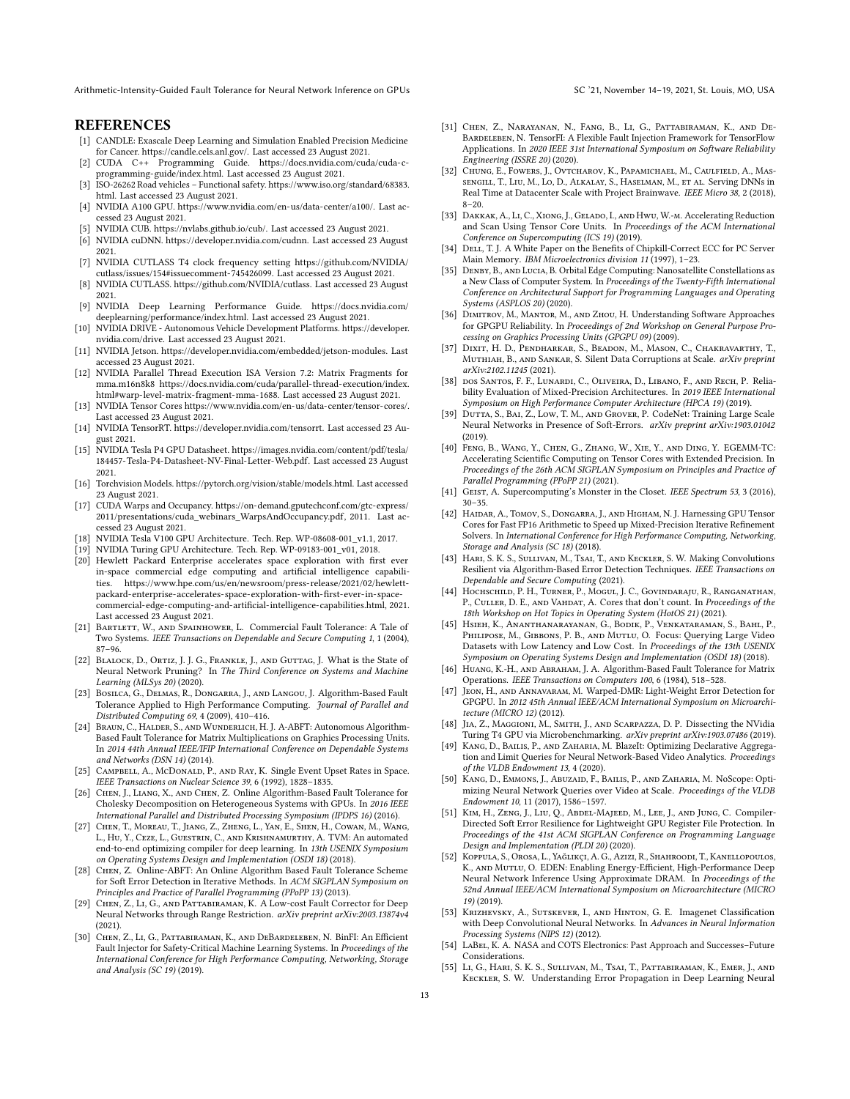## **REFERENCES**

- <span id="page-12-0"></span>[1] CANDLE: Exascale Deep Learning and Simulation Enabled Precision Medicine for Cancer. [https://candle.cels.anl.gov/.](https://candle.cels.anl.gov/) Last accessed 23 August 2021.
- <span id="page-12-25"></span>[2] CUDA C++ Programming Guide. [https://docs.nvidia.com/cuda/cuda-c](https://docs.nvidia.com/cuda/cuda-c-programming-guide/index.html)[programming-guide/index.html.](https://docs.nvidia.com/cuda/cuda-c-programming-guide/index.html) Last accessed 23 August 2021.
- <span id="page-12-3"></span>[3] ISO-26262 Road vehicles – Functional safety[. https://www.iso.org/standard/68383.](https://www.iso.org/standard/68383.html) [html.](https://www.iso.org/standard/68383.html) Last accessed 23 August 2021.
- <span id="page-12-36"></span>[4] NVIDIA A100 GPU. [https://www.nvidia.com/en-us/data-center/a100/.](https://www.nvidia.com/en-us/data-center/a100/) Last accessed 23 August 2021.
- <span id="page-12-42"></span>[5] NVIDIA CUB. [https://nvlabs.github.io/cub/.](https://nvlabs.github.io/cub/) Last accessed 23 August 2021.
- <span id="page-12-41"></span>[6] NVIDIA cuDNN. [https://developer.nvidia.com/cudnn.](https://developer.nvidia.com/cudnn) Last accessed 23 August 2021.
- <span id="page-12-43"></span>[7] NVIDIA CUTLASS T4 clock frequency setting [https://github.com/NVIDIA/](https://github.com/NVIDIA/cutlass/issues/154#issuecomment-745426099) [cutlass/issues/154#issuecomment-745426099.](https://github.com/NVIDIA/cutlass/issues/154#issuecomment-745426099) Last accessed 23 August 2021.
- <span id="page-12-24"></span>[8] NVIDIA CUTLASS. [https://github.com/NVIDIA/cutlass.](https://github.com/NVIDIA/cutlass) Last accessed 23 August 2021.
- <span id="page-12-30"></span>[9] NVIDIA Deep Learning Performance Guide. [https://docs.nvidia.com/](https://docs.nvidia.com/deeplearning/performance/index.html) [deeplearning/performance/index.html.](https://docs.nvidia.com/deeplearning/performance/index.html) Last accessed 23 August 2021.
- <span id="page-12-1"></span>[10] NVIDIA DRIVE - Autonomous Vehicle Development Platforms. [https://developer.](https://developer.nvidia.com/drive) [nvidia.com/drive.](https://developer.nvidia.com/drive) Last accessed 23 August 2021.
- <span id="page-12-37"></span>[11] NVIDIA Jetson. [https://developer.nvidia.com/embedded/jetson-modules.](https://developer.nvidia.com/embedded/jetson-modules) Last accessed 23 August 2021.
- <span id="page-12-26"></span>[12] NVIDIA Parallel Thread Execution ISA Version 7.2: Matrix Fragments for mma.m16n8k8 [https://docs.nvidia.com/cuda/parallel-thread-execution/index.](https://docs.nvidia.com/cuda/parallel-thread-execution/index.html#warp-level-matrix-fragment-mma-1688) [html#warp-level-matrix-fragment-mma-1688.](https://docs.nvidia.com/cuda/parallel-thread-execution/index.html#warp-level-matrix-fragment-mma-1688) Last accessed 23 August 2021.
- <span id="page-12-19"></span>[13] NVIDIA Tensor Cores [https://www.nvidia.com/en-us/data-center/tensor-cores/.](https://www.nvidia.com/en-us/data-center/tensor-cores/) Last accessed 23 August 2021.
- <span id="page-12-39"></span>[14] NVIDIA TensorRT. [https://developer.nvidia.com/tensorrt.](https://developer.nvidia.com/tensorrt) Last accessed 23 August 2021.
- <span id="page-12-35"></span>[15] NVIDIA Tesla P4 GPU Datasheet. [https://images.nvidia.com/content/pdf/tesla/](https://images.nvidia.com/content/pdf/tesla/184457-Tesla-P4-Datasheet-NV-Final-Letter-Web.pdf) [184457-Tesla-P4-Datasheet-NV-Final-Letter-Web.pdf.](https://images.nvidia.com/content/pdf/tesla/184457-Tesla-P4-Datasheet-NV-Final-Letter-Web.pdf) Last accessed 23 August 2021.
- <span id="page-12-31"></span>[16] Torchvision Models. [https://pytorch.org/vision/stable/models.html.](https://pytorch.org/vision/stable/models.html) Last accessed 23 August 2021.
- <span id="page-12-38"></span>[17] CUDA Warps and Occupancy. [https://on-demand.gputechconf.com/gtc-express/](https://on-demand.gputechconf.com/gtc-express/2011/presentations/cuda_webinars_WarpsAndOccupancy.pdf) [2011/presentations/cuda\\_webinars\\_WarpsAndOccupancy.pdf,](https://on-demand.gputechconf.com/gtc-express/2011/presentations/cuda_webinars_WarpsAndOccupancy.pdf) 2011. Last accessed 23 August 2021.
- <span id="page-12-13"></span>[18] NVIDIA Tesla V100 GPU Architecture. Tech. Rep. WP-08608-001\_v1.1, 2017.
- <span id="page-12-34"></span>[19] NVIDIA Turing GPU Architecture. Tech. Rep. WP-09183-001\_v01, 2018.
- <span id="page-12-28"></span>[20] Hewlett Packard Enterprise accelerates space exploration with first ever in-space commercial edge computing and artificial intelligence capabilities. [https://www.hpe.com/us/en/newsroom/press-release/2021/02/hewlett](https://www.hpe.com/us/en/newsroom/press-release/2021/02/hewlett-packard-enterprise-accelerates-space-exploration-with-first-ever-in-space-commercial-edge-computing-and-artificial-intelligence-capabilities.html)[packard-enterprise-accelerates-space-exploration-with-first-ever-in-space](https://www.hpe.com/us/en/newsroom/press-release/2021/02/hewlett-packard-enterprise-accelerates-space-exploration-with-first-ever-in-space-commercial-edge-computing-and-artificial-intelligence-capabilities.html)[commercial-edge-computing-and-artificial-intelligence-capabilities.html,](https://www.hpe.com/us/en/newsroom/press-release/2021/02/hewlett-packard-enterprise-accelerates-space-exploration-with-first-ever-in-space-commercial-edge-computing-and-artificial-intelligence-capabilities.html) 2021. Last accessed 23 August 2021.
- <span id="page-12-14"></span>[21] BARTLETT, W., AND SPAINHOWER, L. Commercial Fault Tolerance: A Tale of Two Systems. IEEE Transactions on Dependable and Secure Computing 1, 1 (2004), 87–96.
- <span id="page-12-23"></span>[22] Blalock, D., Ortiz, J. J. G., Frankle, J., and Guttag, J. What is the State of Neural Network Pruning? In The Third Conference on Systems and Machine Learning (MLSys 20) (2020).
- <span id="page-12-15"></span>[23] Bosilca, G., Delmas, R., Dongarra, J., and Langou, J. Algorithm-Based Fault Tolerance Applied to High Performance Computing. Journal of Parallel and Distributed Computing 69, 4 (2009), 410–416.
- <span id="page-12-16"></span>[24] Braun, C., Halder, S., and Wunderlich, H. J. A-ABFT: Autonomous Algorithm-Based Fault Tolerance for Matrix Multiplications on Graphics Processing Units. In 2014 44th Annual IEEE/IFIP International Conference on Dependable Systems and Networks (DSN 14) (2014).
- <span id="page-12-10"></span>[25] CAMPBELL, A., McDonald, P., AND RAY, K. Single Event Upset Rates in Space. IEEE Transactions on Nuclear Science 39, 6 (1992), 1828–1835.
- <span id="page-12-54"></span>[26] Chen, J., Liang, X., and Chen, Z. Online Algorithm-Based Fault Tolerance for Cholesky Decomposition on Heterogeneous Systems with GPUs. In 2016 IEEE International Parallel and Distributed Processing Symposium (IPDPS 16) (2016).
- <span id="page-12-40"></span>[27] Chen, T., Moreau, T., Jiang, Z., Zheng, L., Yan, E., Shen, H., Cowan, M., Wang, L., Hu, Y., Ceze, L., Guestrin, C., and Krishnamurthy, A. TVM: An automated end-to-end optimizing compiler for deep learning. In 13th USENIX Symposium on Operating Systems Design and Implementation (OSDI 18) (2018).
- <span id="page-12-18"></span>[28] Chen, Z. Online-ABFT: An Online Algorithm Based Fault Tolerance Scheme for Soft Error Detection in Iterative Methods. In ACM SIGPLAN Symposium on Principles and Practice of Parallel Programming (PPoPP 13) (2013).
- <span id="page-12-29"></span>[29] CHEN, Z., LI, G., AND PATTABIRAMAN, K. A Low-cost Fault Corrector for Deep Neural Networks through Range Restriction. arXiv preprint arXiv:2003.13874v4 (2021).
- <span id="page-12-6"></span>[30] Chen, Z., Li, G., Pattabiraman, K., and DeBardeleben, N. BinFI: An Efficient Fault Injector for Safety-Critical Machine Learning Systems. In Proceedings of the International Conference for High Performance Computing, Networking, Storage and Analysis (SC 19) (2019).
- <span id="page-12-7"></span>[31] Chen, Z., Narayanan, N., Fang, B., Li, G., Pattabiraman, K., and De-Bardeleben, N. TensorFI: A Flexible Fault Injection Framework for TensorFlow Applications. In 2020 IEEE 31st International Symposium on Software Reliability Engineering (ISSRE 20) (2020).
- <span id="page-12-32"></span>[32] CHUNG, E., FOWERS, J., OVTCHAROV, K., PAPAMICHAEL, M., CAULFIELD, A., MASsengill, T., Liu, M., Lo, D., Alkalay, S., Haselman, M., et al. Serving DNNs in Real Time at Datacenter Scale with Project Brainwave. IEEE Micro 38, 2 (2018), 8–20.
- <span id="page-12-45"></span>[33] Dakkak, A., Li, C., Xiong, J., Gelado, I., and Hwu, W.-m. Accelerating Reduction and Scan Using Tensor Core Units. In Proceedings of the ACM International Conference on Supercomputing (ICS 19) (2019).
- <span id="page-12-48"></span>[34] DELL, T. J. A White Paper on the Benefits of Chipkill-Correct ECC for PC Server Main Memory. IBM Microelectronics division 11 (1997), 1–23.
- <span id="page-12-2"></span>[35] DENBY, B., AND LUCIA, B. Orbital Edge Computing: Nanosatellite Constellations as a New Class of Computer System. In Proceedings of the Twenty-Fifth International Conference on Architectural Support for Programming Languages and Operating Systems (ASPLOS 20) (2020).
- <span id="page-12-49"></span>[36] Dimitrov, M., Mantor, M., and Zhou, H. Understanding Software Approaches for GPGPU Reliability. In Proceedings of 2nd Workshop on General Purpose Processing on Graphics Processing Units (GPGPU 09) (2009).
- <span id="page-12-5"></span>[37] Dixit, H. D., Pendharkar, S., Beadon, M., Mason, C., Chakravarthy, T., MUTHIAH, B., AND SANKAR, S. Silent Data Corruptions at Scale. arXiv preprint arXiv:2102.11245 (2021).
- <span id="page-12-9"></span>[38] dos Santos, F. F., Lunardi, C., Oliveira, D., Libano, F., and Rech, P. Reliability Evaluation of Mixed-Precision Architectures. In 2019 IEEE International Symposium on High Performance Computer Architecture (HPCA 19) (2019).
- <span id="page-12-53"></span>[39] DUTTA, S., BAI, Z., Low, T. M., AND GROVER, P. CodeNet: Training Large Scale Neural Networks in Presence of Soft-Errors. arXiv preprint arXiv:1903.01042 (2019).
- <span id="page-12-46"></span>[40] Feng, B., Wang, Y., Chen, G., Zhang, W., Xie, Y., and Ding, Y. EGEMM-TC: Accelerating Scientific Computing on Tensor Cores with Extended Precision. In Proceedings of the 26th ACM SIGPLAN Symposium on Principles and Practice of Parallel Programming (PPoPP 21) (2021).
- <span id="page-12-4"></span>[41] GEIST, A. Supercomputing's Monster in the Closet. IEEE Spectrum 53, 3 (2016), 30–35.
- <span id="page-12-47"></span>[42] HAIDAR, A., TOMOV, S., DONGARRA, J., AND HIGHAM, N. J. Harnessing GPU Tensor Cores for Fast FP16 Arithmetic to Speed up Mixed-Precision Iterative Refinement Solvers. In International Conference for High Performance Computing, Networking, Storage and Analysis (SC 18) (2018).
- <span id="page-12-12"></span>[43] HARI, S. K. S., SULLIVAN, M., TSAI, T., AND KECKLER, S. W. Making Convolutions Resilient via Algorithm-Based Error Detection Techniques. IEEE Transactions on Dependable and Secure Computing (2021).
- <span id="page-12-27"></span>[44] Hochschild, P. H., Turner, P., Mogul, J. C., Govindaraju, R., Ranganathan, P., CULLER, D. E., AND VAHDAT, A. Cores that don't count. In Proceedings of the 18th Workshop on Hot Topics in Operating System (HotOS 21) (2021).
- <span id="page-12-20"></span>[45] Hsieh, K., Ananthanarayanan, G., Bodik, P., Venkataraman, S., Bahl, P., Philipose, M., Gibbons, P. B., and Mutlu, O. Focus: Querying Large Video Datasets with Low Latency and Low Cost. In Proceedings of the 13th USENIX Symposium on Operating Systems Design and Implementation (OSDI 18) (2018).
- <span id="page-12-17"></span>[46] HUANG, K.-H., AND ABRAHAM, J. A. Algorithm-Based Fault Tolerance for Matrix Operations. IEEE Transactions on Computers 100, 6 (1984), 518–528.
- <span id="page-12-50"></span>[47] Jeon, H., and Annavaram, M. Warped-DMR: Light-Weight Error Detection for GPGPU. In 2012 45th Annual IEEE/ACM International Symposium on Microarchitecture (MICRO 12) (2012).
- <span id="page-12-44"></span>[48] Jia, Z., Maggioni, M., Smith, J., and Scarpazza, D. P. Dissecting the NVidia Turing T4 GPU via Microbenchmarking. arXiv preprint arXiv:1903.07486 (2019).
- <span id="page-12-21"></span>[49] KANG, D., BAILIS, P., AND ZAHARIA, M. BlazeIt: Optimizing Declarative Aggregation and Limit Queries for Neural Network-Based Video Analytics. Proceedings of the VLDB Endowment 13, 4 (2020).
- <span id="page-12-22"></span>[50] KANG, D., EMMONS, J., ABUZAID, F., BAILIS, P., AND ZAHARIA, M. NoScope: Optimizing Neural Network Queries over Video at Scale. Proceedings of the VLDB Endowment 10, 11 (2017), 1586–1597.
- <span id="page-12-51"></span>[51] Kim, H., Zeng, J., Liu, Q., Abdel-Majeed, M., Lee, J., and Jung, C. Compiler-Directed Soft Error Resilience for Lightweight GPU Register File Protection. In Proceedings of the 41st ACM SIGPLAN Conference on Programming Language Design and Implementation (PLDI 20) (2020).
- <span id="page-12-52"></span>[52] Koppula, S., Orosa, L., Yağlikçi, A. G., Azizi, R., Shahroodi, T., Kanellopoulos, K., AND MUTLU, O. EDEN: Enabling Energy-Efficient, High-Performance Deep Neural Network Inference Using Approximate DRAM. In Proceedings of the 52nd Annual IEEE/ACM International Symposium on Microarchitecture (MICRO 19) (2019).
- <span id="page-12-33"></span>[53] Krizhevsky, A., Sutskever, I., and Hinton, G. E. Imagenet Classification with Deep Convolutional Neural Networks. In Advances in Neural Information Processing Systems (NIPS 12) (2012).
- <span id="page-12-11"></span>[54] LABEL, K. A. NASA and COTS Electronics: Past Approach and Successes-Future Considerations.
- <span id="page-12-8"></span>[55] Li, G., Hari, S. K. S., Sullivan, M., Tsai, T., Pattabiraman, K., Emer, J., and Keckler, S. W. Understanding Error Propagation in Deep Learning Neural